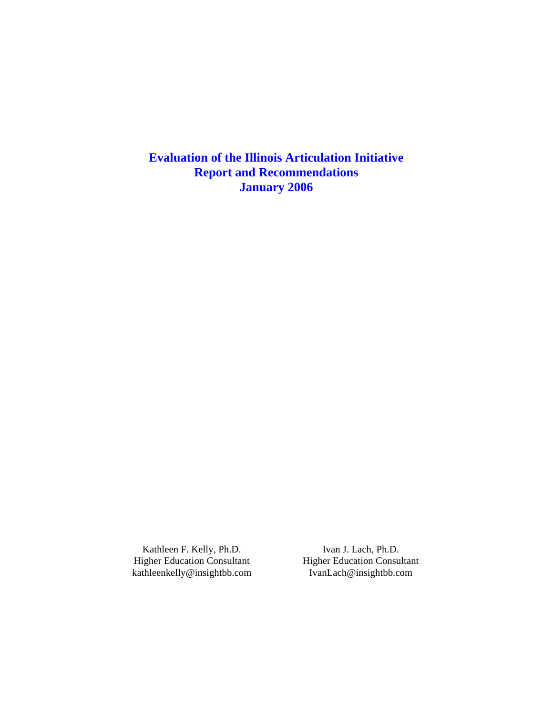**Evaluation of the Illinois Articulation Initiative Report and Recommendations January 2006**

Kathleen F. Kelly, Ph.D. Higher Education Consultant kathleenkelly@insightbb.com

Ivan J. Lach, Ph.D. Higher Education Consultant IvanLach@insightbb.com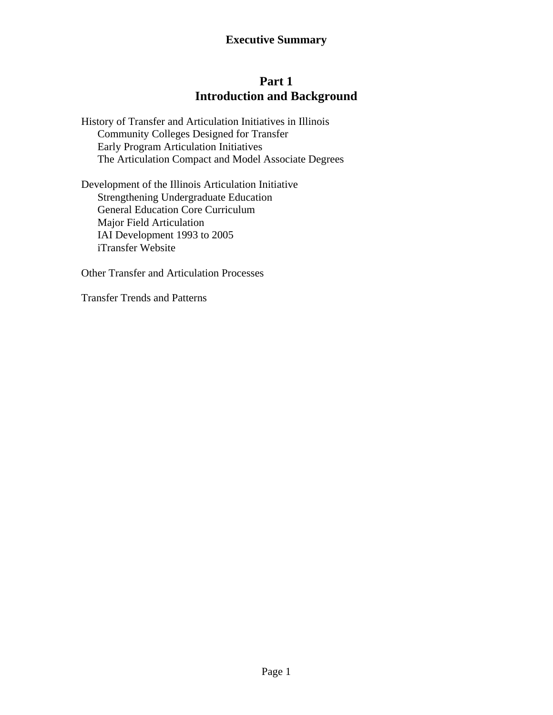# **Part 1 Introduction and Background**

History of Transfer and Articulation Initiatives in Illinois Community Colleges Designed for Transfer Early Program Articulation Initiatives The Articulation Compact and Model Associate Degrees

Development of the Illinois Articulation Initiative Strengthening Undergraduate Education General Education Core Curriculum Major Field Articulation IAI Development 1993 to 2005 iTransfer Website

Other Transfer and Articulation Processes

Transfer Trends and Patterns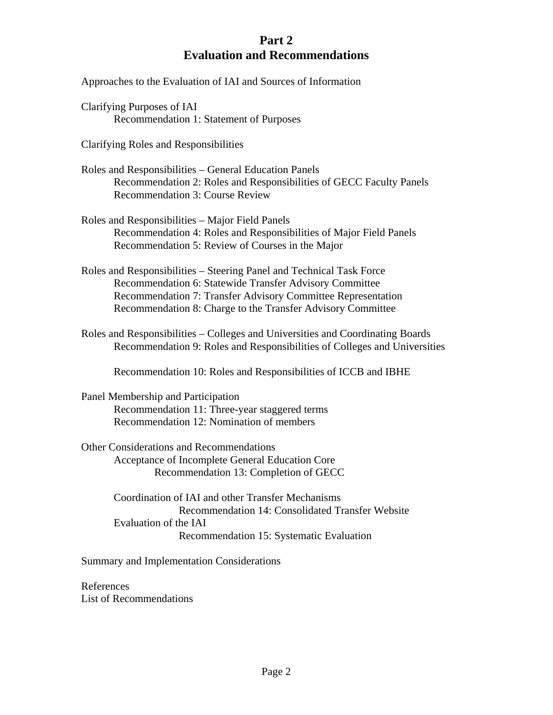# **Part 2 Evaluation and Recommendations**

Approaches to the Evaluation of IAI and Sources of Information

Clarifying Purposes of IAI Recommendation 1: Statement of Purposes

Clarifying Roles and Responsibilities

Roles and Responsibilities – General Education Panels Recommendation 2: Roles and Responsibilities of GECC Faculty Panels Recommendation 3: Course Review

Roles and Responsibilities – Major Field Panels Recommendation 4: Roles and Responsibilities of Major Field Panels Recommendation 5: Review of Courses in the Major

Roles and Responsibilities – Steering Panel and Technical Task Force Recommendation 6: Statewide Transfer Advisory Committee Recommendation 7: Transfer Advisory Committee Representation Recommendation 8: Charge to the Transfer Advisory Committee

Roles and Responsibilities – Colleges and Universities and Coordinating Boards Recommendation 9: Roles and Responsibilities of Colleges and Universities

Recommendation 10: Roles and Responsibilities of ICCB and IBHE

Panel Membership and Participation Recommendation 11: Three-year staggered terms Recommendation 12: Nomination of members

Other Considerations and Recommendations Acceptance of Incomplete General Education Core Recommendation 13: Completion of GECC

> Coordination of IAI and other Transfer Mechanisms Recommendation 14: Consolidated Transfer Website Evaluation of the IAI Recommendation 15: Systematic Evaluation

Summary and Implementation Considerations

References List of Recommendations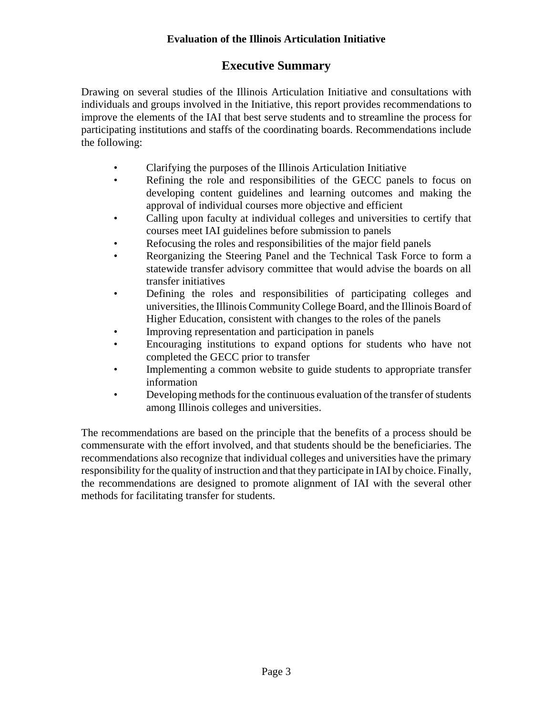# **Evaluation of the Illinois Articulation Initiative**

# **Executive Summary**

Drawing on several studies of the Illinois Articulation Initiative and consultations with individuals and groups involved in the Initiative, this report provides recommendations to improve the elements of the IAI that best serve students and to streamline the process for participating institutions and staffs of the coordinating boards. Recommendations include the following:

- Clarifying the purposes of the Illinois Articulation Initiative
- Refining the role and responsibilities of the GECC panels to focus on developing content guidelines and learning outcomes and making the approval of individual courses more objective and efficient
- Calling upon faculty at individual colleges and universities to certify that courses meet IAI guidelines before submission to panels
- Refocusing the roles and responsibilities of the major field panels
- Reorganizing the Steering Panel and the Technical Task Force to form a statewide transfer advisory committee that would advise the boards on all transfer initiatives
- Defining the roles and responsibilities of participating colleges and universities, the Illinois Community College Board, and the Illinois Board of Higher Education, consistent with changes to the roles of the panels
- Improving representation and participation in panels
- Encouraging institutions to expand options for students who have not completed the GECC prior to transfer
- Implementing a common website to guide students to appropriate transfer information
- Developing methods for the continuous evaluation of the transfer of students among Illinois colleges and universities.

The recommendations are based on the principle that the benefits of a process should be commensurate with the effort involved, and that students should be the beneficiaries. The recommendations also recognize that individual colleges and universities have the primary responsibility for the quality of instruction and that they participate in IAI by choice. Finally, the recommendations are designed to promote alignment of IAI with the several other methods for facilitating transfer for students.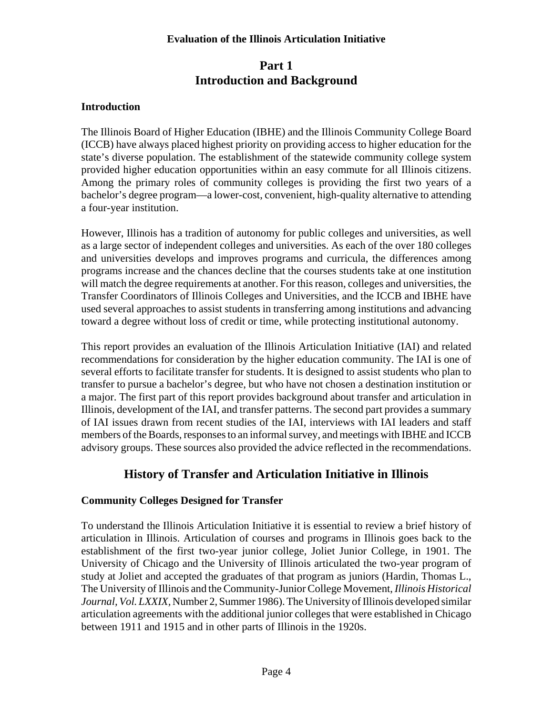#### **Evaluation of the Illinois Articulation Initiative**

# **Part 1 Introduction and Background**

# **Introduction**

The Illinois Board of Higher Education (IBHE) and the Illinois Community College Board (ICCB) have always placed highest priority on providing access to higher education for the state's diverse population. The establishment of the statewide community college system provided higher education opportunities within an easy commute for all Illinois citizens. Among the primary roles of community colleges is providing the first two years of a bachelor's degree program—a lower-cost, convenient, high-quality alternative to attending a four-year institution.

However, Illinois has a tradition of autonomy for public colleges and universities, as well as a large sector of independent colleges and universities. As each of the over 180 colleges and universities develops and improves programs and curricula, the differences among programs increase and the chances decline that the courses students take at one institution will match the degree requirements at another. For this reason, colleges and universities, the Transfer Coordinators of Illinois Colleges and Universities, and the ICCB and IBHE have used several approaches to assist students in transferring among institutions and advancing toward a degree without loss of credit or time, while protecting institutional autonomy.

This report provides an evaluation of the Illinois Articulation Initiative (IAI) and related recommendations for consideration by the higher education community. The IAI is one of several efforts to facilitate transfer for students. It is designed to assist students who plan to transfer to pursue a bachelor's degree, but who have not chosen a destination institution or a major. The first part of this report provides background about transfer and articulation in Illinois, development of the IAI, and transfer patterns. The second part provides a summary of IAI issues drawn from recent studies of the IAI, interviews with IAI leaders and staff members of the Boards, responses to an informal survey, and meetings with IBHE and ICCB advisory groups. These sources also provided the advice reflected in the recommendations.

# **History of Transfer and Articulation Initiative in Illinois**

#### **Community Colleges Designed for Transfer**

To understand the Illinois Articulation Initiative it is essential to review a brief history of articulation in Illinois. Articulation of courses and programs in Illinois goes back to the establishment of the first two-year junior college, Joliet Junior College, in 1901. The University of Chicago and the University of Illinois articulated the two-year program of study at Joliet and accepted the graduates of that program as juniors (Hardin, Thomas L., The University of Illinois and the Community-Junior College Movement, *Illinois Historical Journal, Vol. LXXIX,* Number 2, Summer 1986). The University of Illinois developed similar articulation agreements with the additional junior colleges that were established in Chicago between 1911 and 1915 and in other parts of Illinois in the 1920s.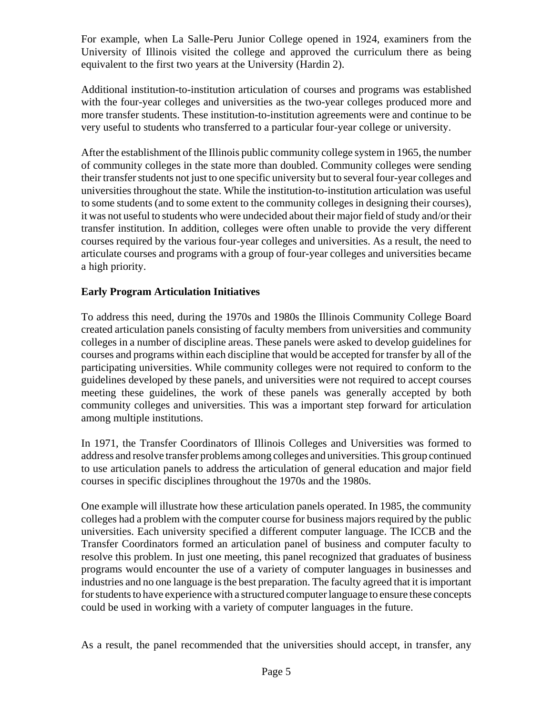For example, when La Salle-Peru Junior College opened in 1924, examiners from the University of Illinois visited the college and approved the curriculum there as being equivalent to the first two years at the University (Hardin 2).

Additional institution-to-institution articulation of courses and programs was established with the four-year colleges and universities as the two-year colleges produced more and more transfer students. These institution-to-institution agreements were and continue to be very useful to students who transferred to a particular four-year college or university.

After the establishment of the Illinois public community college system in 1965, the number of community colleges in the state more than doubled. Community colleges were sending their transfer students not just to one specific university but to several four-year colleges and universities throughout the state. While the institution-to-institution articulation was useful to some students (and to some extent to the community colleges in designing their courses), it was not useful to students who were undecided about their major field of study and/or their transfer institution. In addition, colleges were often unable to provide the very different courses required by the various four-year colleges and universities. As a result, the need to articulate courses and programs with a group of four-year colleges and universities became a high priority.

# **Early Program Articulation Initiatives**

To address this need, during the 1970s and 1980s the Illinois Community College Board created articulation panels consisting of faculty members from universities and community colleges in a number of discipline areas. These panels were asked to develop guidelines for courses and programs within each discipline that would be accepted for transfer by all of the participating universities. While community colleges were not required to conform to the guidelines developed by these panels, and universities were not required to accept courses meeting these guidelines, the work of these panels was generally accepted by both community colleges and universities. This was a important step forward for articulation among multiple institutions.

In 1971, the Transfer Coordinators of Illinois Colleges and Universities was formed to address and resolve transfer problems among colleges and universities. This group continued to use articulation panels to address the articulation of general education and major field courses in specific disciplines throughout the 1970s and the 1980s.

One example will illustrate how these articulation panels operated. In 1985, the community colleges had a problem with the computer course for business majors required by the public universities. Each university specified a different computer language. The ICCB and the Transfer Coordinators formed an articulation panel of business and computer faculty to resolve this problem. In just one meeting, this panel recognized that graduates of business programs would encounter the use of a variety of computer languages in businesses and industries and no one language is the best preparation. The faculty agreed that it is important for students to have experience with a structured computer language to ensure these concepts could be used in working with a variety of computer languages in the future.

As a result, the panel recommended that the universities should accept, in transfer, any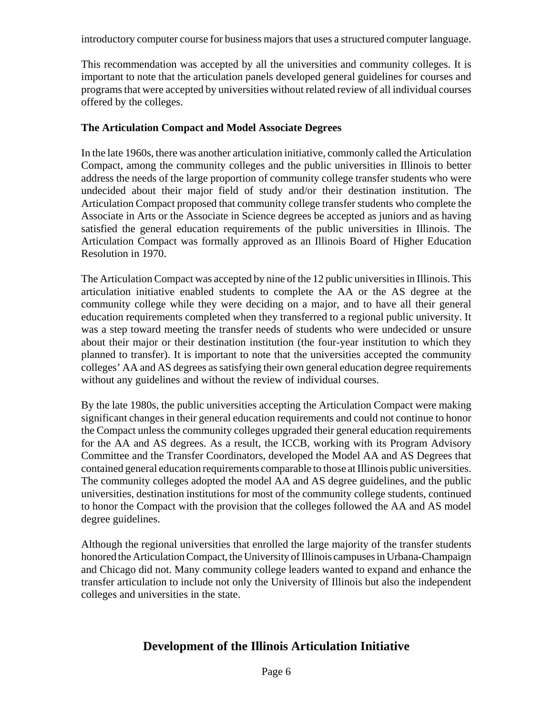introductory computer course for business majors that uses a structured computer language.

This recommendation was accepted by all the universities and community colleges. It is important to note that the articulation panels developed general guidelines for courses and programs that were accepted by universities without related review of all individual courses offered by the colleges.

#### **The Articulation Compact and Model Associate Degrees**

In the late 1960s, there was another articulation initiative, commonly called the Articulation Compact, among the community colleges and the public universities in Illinois to better address the needs of the large proportion of community college transfer students who were undecided about their major field of study and/or their destination institution. The Articulation Compact proposed that community college transfer students who complete the Associate in Arts or the Associate in Science degrees be accepted as juniors and as having satisfied the general education requirements of the public universities in Illinois. The Articulation Compact was formally approved as an Illinois Board of Higher Education Resolution in 1970.

The Articulation Compact was accepted by nine of the 12 public universities in Illinois. This articulation initiative enabled students to complete the AA or the AS degree at the community college while they were deciding on a major, and to have all their general education requirements completed when they transferred to a regional public university. It was a step toward meeting the transfer needs of students who were undecided or unsure about their major or their destination institution (the four-year institution to which they planned to transfer). It is important to note that the universities accepted the community colleges' AA and AS degrees as satisfying their own general education degree requirements without any guidelines and without the review of individual courses.

By the late 1980s, the public universities accepting the Articulation Compact were making significant changes in their general education requirements and could not continue to honor the Compact unless the community colleges upgraded their general education requirements for the AA and AS degrees. As a result, the ICCB, working with its Program Advisory Committee and the Transfer Coordinators, developed the Model AA and AS Degrees that contained general education requirements comparable to those at Illinois public universities. The community colleges adopted the model AA and AS degree guidelines, and the public universities, destination institutions for most of the community college students, continued to honor the Compact with the provision that the colleges followed the AA and AS model degree guidelines.

Although the regional universities that enrolled the large majority of the transfer students honored the Articulation Compact, the University of Illinois campuses in Urbana-Champaign and Chicago did not. Many community college leaders wanted to expand and enhance the transfer articulation to include not only the University of Illinois but also the independent colleges and universities in the state.

# **Development of the Illinois Articulation Initiative**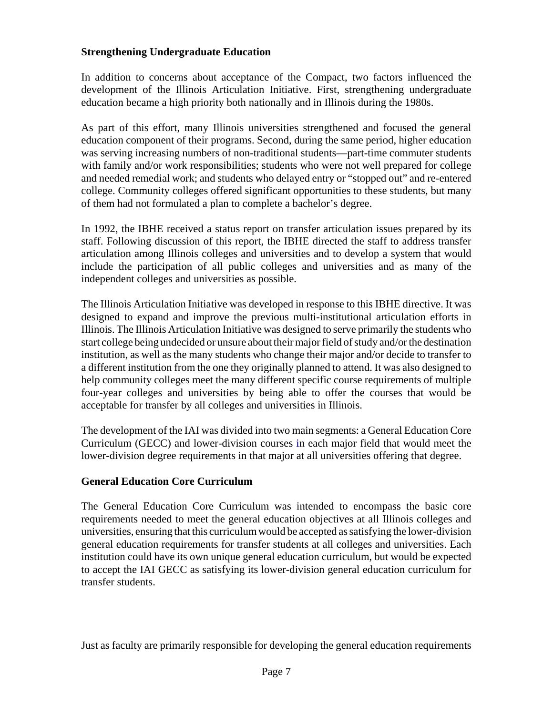#### **Strengthening Undergraduate Education**

In addition to concerns about acceptance of the Compact, two factors influenced the development of the Illinois Articulation Initiative. First, strengthening undergraduate education became a high priority both nationally and in Illinois during the 1980s.

As part of this effort, many Illinois universities strengthened and focused the general education component of their programs. Second, during the same period, higher education was serving increasing numbers of non-traditional students—part-time commuter students with family and/or work responsibilities; students who were not well prepared for college and needed remedial work; and students who delayed entry or "stopped out" and re-entered college. Community colleges offered significant opportunities to these students, but many of them had not formulated a plan to complete a bachelor's degree.

In 1992, the IBHE received a status report on transfer articulation issues prepared by its staff. Following discussion of this report, the IBHE directed the staff to address transfer articulation among Illinois colleges and universities and to develop a system that would include the participation of all public colleges and universities and as many of the independent colleges and universities as possible.

The Illinois Articulation Initiative was developed in response to this IBHE directive. It was designed to expand and improve the previous multi-institutional articulation efforts in Illinois. The Illinois Articulation Initiative was designed to serve primarily the students who start college being undecided or unsure about their major field of study and/or the destination institution, as well as the many students who change their major and/or decide to transfer to a different institution from the one they originally planned to attend. It was also designed to help community colleges meet the many different specific course requirements of multiple four-year colleges and universities by being able to offer the courses that would be acceptable for transfer by all colleges and universities in Illinois.

The development of the IAI was divided into two main segments: a General Education Core Curriculum (GECC) and lower-division courses in each major field that would meet the lower-division degree requirements in that major at all universities offering that degree.

#### **General Education Core Curriculum**

The General Education Core Curriculum was intended to encompass the basic core requirements needed to meet the general education objectives at all Illinois colleges and universities, ensuring that this curriculum would be accepted as satisfying the lower-division general education requirements for transfer students at all colleges and universities. Each institution could have its own unique general education curriculum, but would be expected to accept the IAI GECC as satisfying its lower-division general education curriculum for transfer students.

Just as faculty are primarily responsible for developing the general education requirements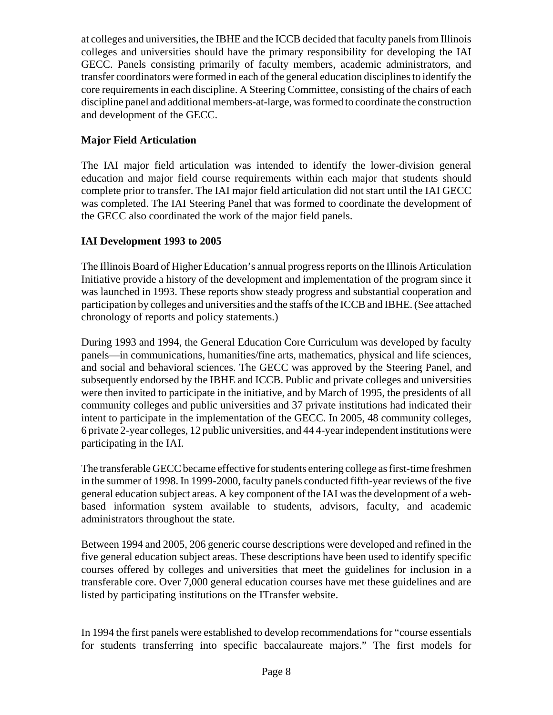at colleges and universities, the IBHE and the ICCB decided that faculty panels from Illinois colleges and universities should have the primary responsibility for developing the IAI GECC. Panels consisting primarily of faculty members, academic administrators, and transfer coordinators were formed in each of the general education disciplines to identify the core requirements in each discipline. A Steering Committee, consisting of the chairs of each discipline panel and additional members-at-large, was formed to coordinate the construction and development of the GECC.

# **Major Field Articulation**

The IAI major field articulation was intended to identify the lower-division general education and major field course requirements within each major that students should complete prior to transfer. The IAI major field articulation did not start until the IAI GECC was completed. The IAI Steering Panel that was formed to coordinate the development of the GECC also coordinated the work of the major field panels.

# **IAI Development 1993 to 2005**

The Illinois Board of Higher Education's annual progress reports on the Illinois Articulation Initiative provide a history of the development and implementation of the program since it was launched in 1993. These reports show steady progress and substantial cooperation and participation by colleges and universities and the staffs of the ICCB and IBHE. (See attached chronology of reports and policy statements.)

During 1993 and 1994, the General Education Core Curriculum was developed by faculty panels—in communications, humanities/fine arts, mathematics, physical and life sciences, and social and behavioral sciences. The GECC was approved by the Steering Panel, and subsequently endorsed by the IBHE and ICCB. Public and private colleges and universities were then invited to participate in the initiative, and by March of 1995, the presidents of all community colleges and public universities and 37 private institutions had indicated their intent to participate in the implementation of the GECC. In 2005, 48 community colleges, 6 private 2-year colleges, 12 public universities, and 44 4-year independent institutions were participating in the IAI.

The transferable GECC became effective for students entering college as first-time freshmen in the summer of 1998. In 1999-2000, faculty panels conducted fifth-year reviews of the five general education subject areas. A key component of the IAI was the development of a webbased information system available to students, advisors, faculty, and academic administrators throughout the state.

Between 1994 and 2005, 206 generic course descriptions were developed and refined in the five general education subject areas. These descriptions have been used to identify specific courses offered by colleges and universities that meet the guidelines for inclusion in a transferable core. Over 7,000 general education courses have met these guidelines and are listed by participating institutions on the ITransfer website.

In 1994 the first panels were established to develop recommendations for "course essentials for students transferring into specific baccalaureate majors." The first models for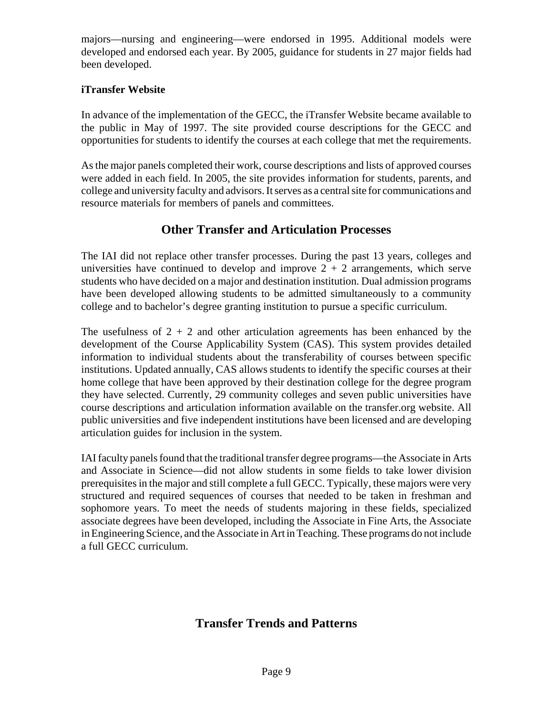majors—nursing and engineering—were endorsed in 1995. Additional models were developed and endorsed each year. By 2005, guidance for students in 27 major fields had been developed.

# **iTransfer Website**

In advance of the implementation of the GECC, the iTransfer Website became available to the public in May of 1997. The site provided course descriptions for the GECC and opportunities for students to identify the courses at each college that met the requirements.

As the major panels completed their work, course descriptions and lists of approved courses were added in each field. In 2005, the site provides information for students, parents, and college and university faculty and advisors. It serves as a central site for communications and resource materials for members of panels and committees.

# **Other Transfer and Articulation Processes**

The IAI did not replace other transfer processes. During the past 13 years, colleges and universities have continued to develop and improve  $2 + 2$  arrangements, which serve students who have decided on a major and destination institution. Dual admission programs have been developed allowing students to be admitted simultaneously to a community college and to bachelor's degree granting institution to pursue a specific curriculum.

The usefulness of  $2 + 2$  and other articulation agreements has been enhanced by the development of the Course Applicability System (CAS). This system provides detailed information to individual students about the transferability of courses between specific institutions. Updated annually, CAS allows students to identify the specific courses at their home college that have been approved by their destination college for the degree program they have selected. Currently, 29 community colleges and seven public universities have course descriptions and articulation information available on the transfer.org website. All public universities and five independent institutions have been licensed and are developing articulation guides for inclusion in the system.

IAI faculty panels found that the traditional transfer degree programs—the Associate in Arts and Associate in Science—did not allow students in some fields to take lower division prerequisites in the major and still complete a full GECC. Typically, these majors were very structured and required sequences of courses that needed to be taken in freshman and sophomore years. To meet the needs of students majoring in these fields, specialized associate degrees have been developed, including the Associate in Fine Arts, the Associate in Engineering Science, and the Associate in Art in Teaching. These programs do not include a full GECC curriculum.

# **Transfer Trends and Patterns**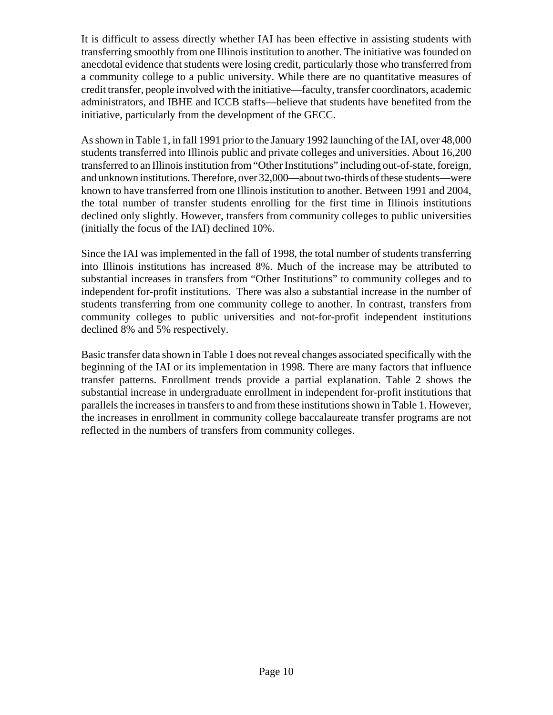It is difficult to assess directly whether IAI has been effective in assisting students with transferring smoothly from one Illinois institution to another. The initiative was founded on anecdotal evidence that students were losing credit, particularly those who transferred from a community college to a public university. While there are no quantitative measures of credit transfer, people involved with the initiative—faculty, transfer coordinators, academic administrators, and IBHE and ICCB staffs—believe that students have benefited from the initiative, particularly from the development of the GECC.

As shown in Table 1, in fall 1991 prior to the January 1992 launching of the IAI, over 48,000 students transferred into Illinois public and private colleges and universities. About 16,200 transferred to an Illinois institution from "Other Institutions" including out-of-state, foreign, and unknown institutions. Therefore, over 32,000—about two-thirds of these students—were known to have transferred from one Illinois institution to another. Between 1991 and 2004, the total number of transfer students enrolling for the first time in Illinois institutions declined only slightly. However, transfers from community colleges to public universities (initially the focus of the IAI) declined 10%.

Since the IAI was implemented in the fall of 1998, the total number of students transferring into Illinois institutions has increased 8%. Much of the increase may be attributed to substantial increases in transfers from "Other Institutions" to community colleges and to independent for-profit institutions. There was also a substantial increase in the number of students transferring from one community college to another. In contrast, transfers from community colleges to public universities and not-for-profit independent institutions declined 8% and 5% respectively.

Basic transfer data shown in Table 1 does not reveal changes associated specifically with the beginning of the IAI or its implementation in 1998. There are many factors that influence transfer patterns. Enrollment trends provide a partial explanation. Table 2 shows the substantial increase in undergraduate enrollment in independent for-profit institutions that parallels the increases in transfers to and from these institutions shown in Table 1. However, the increases in enrollment in community college baccalaureate transfer programs are not reflected in the numbers of transfers from community colleges.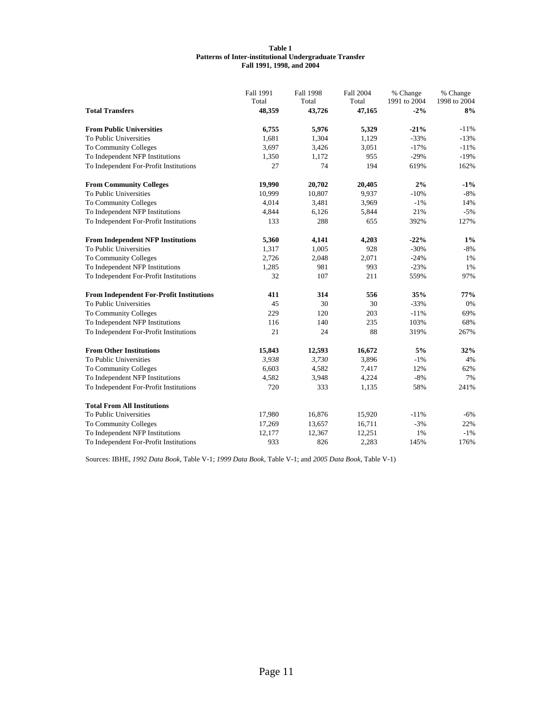#### **Table 1 Patterns of Inter-institutional Undergraduate Transfer Fall 1991, 1998, and 2004**

|                                                 | Fall 1991 | <b>Fall 1998</b> | <b>Fall 2004</b> | % Change     | % Change     |
|-------------------------------------------------|-----------|------------------|------------------|--------------|--------------|
|                                                 | Total     | Total            | Total            | 1991 to 2004 | 1998 to 2004 |
| <b>Total Transfers</b>                          | 48,359    | 43,726           | 47,165           | $-2%$        | 8%           |
| <b>From Public Universities</b>                 | 6,755     | 5,976            | 5,329            | $-21%$       | $-11%$       |
| To Public Universities                          | 1,681     | 1,304            | 1,129            | $-33%$       | $-13%$       |
| To Community Colleges                           | 3,697     | 3,426            | 3,051            | $-17%$       | $-11%$       |
| To Independent NFP Institutions                 | 1,350     | 1,172            | 955              | $-29%$       | $-19%$       |
| To Independent For-Profit Institutions          | 27        | 74               | 194              | 619%         | 162%         |
| <b>From Community Colleges</b>                  | 19,990    | 20,702           | 20,405           | 2%           | $-1\%$       |
| To Public Universities                          | 10,999    | 10,807           | 9,937            | $-10%$       | $-8%$        |
| To Community Colleges                           | 4,014     | 3,481            | 3,969            | $-1%$        | 14%          |
| To Independent NFP Institutions                 | 4,844     | 6,126            | 5,844            | 21%          | $-5%$        |
| To Independent For-Profit Institutions          | 133       | 288              | 655              | 392%         | 127%         |
| <b>From Independent NFP Institutions</b>        | 5,360     | 4,141            | 4,203            | $-22%$       | $1\%$        |
| To Public Universities                          | 1,317     | 1,005            | 928              | $-30%$       | $-8%$        |
| To Community Colleges                           | 2,726     | 2,048            | 2,071            | $-24%$       | 1%           |
| To Independent NFP Institutions                 | 1,285     | 981              | 993              | $-23%$       | 1%           |
| To Independent For-Profit Institutions          | 32        | 107              | 211              | 559%         | 97%          |
| <b>From Independent For-Profit Institutions</b> | 411       | 314              | 556              | 35%          | 77%          |
| To Public Universities                          | 45        | 30               | 30               | $-33%$       | 0%           |
| To Community Colleges                           | 229       | 120              | 203              | $-11%$       | 69%          |
| To Independent NFP Institutions                 | 116       | 140              | 235              | 103%         | 68%          |
| To Independent For-Profit Institutions          | 21        | 24               | 88               | 319%         | 267%         |
| <b>From Other Institutions</b>                  | 15,843    | 12,593           | 16,672           | 5%           | 32%          |
| To Public Universities                          | 3,938     | 3,730            | 3,896            | $-1\%$       | 4%           |
| To Community Colleges                           | 6,603     | 4,582            | 7,417            | 12%          | 62%          |
| To Independent NFP Institutions                 | 4,582     | 3,948            | 4,224            | $-8%$        | 7%           |
| To Independent For-Profit Institutions          | 720       | 333              | 1,135            | 58%          | 241%         |
| <b>Total From All Institutions</b>              |           |                  |                  |              |              |
| To Public Universities                          | 17,980    | 16,876           | 15,920           | $-11%$       | $-6%$        |
| To Community Colleges                           | 17,269    | 13,657           | 16,711           | $-3%$        | 22%          |
| To Independent NFP Institutions                 | 12,177    | 12,367           | 12,251           | 1%           | $-1%$        |
| To Independent For-Profit Institutions          | 933       | 826              | 2,283            | 145%         | 176%         |

Sources: IBHE, *1992 Data Book,* Table V-1; *1999 Data Book,* Table V-1; and *2005 Data Book,* Table V-1)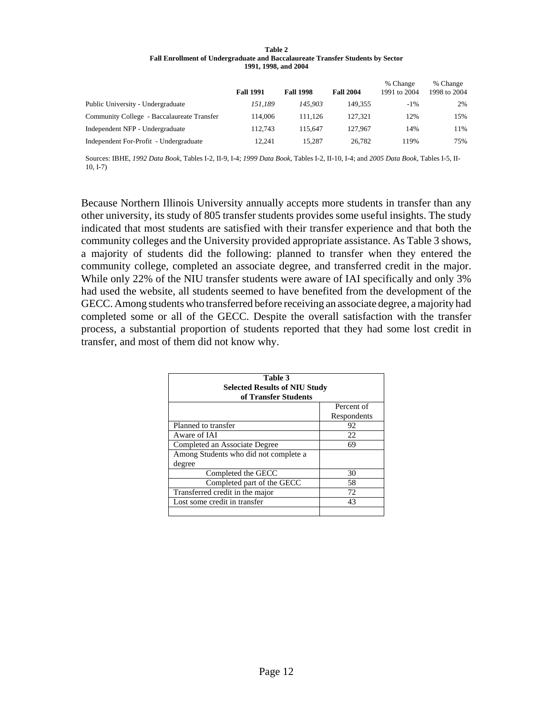| Table 2                                                                        |
|--------------------------------------------------------------------------------|
| Fall Enrollment of Undergraduate and Baccalaureate Transfer Students by Sector |
| 1991, 1998, and 2004                                                           |

|                                            | <b>Fall 1991</b> | <b>Fall 1998</b> | <b>Fall 2004</b> | % Change<br>1991 to 2004 | % Change<br>1998 to 2004 |
|--------------------------------------------|------------------|------------------|------------------|--------------------------|--------------------------|
| Public University - Undergraduate          | 151.189          | 145,903          | 149.355          | $-1\%$                   | 2%                       |
| Community College - Baccalaureate Transfer | 114.006          | 111.126          | 127.321          | 12%                      | 15%                      |
| Independent NFP - Undergraduate            | 112.743          | 115.647          | 127,967          | 14%                      | 11%                      |
| Independent For-Profit - Undergraduate     | 12.241           | 15.287           | 26.782           | 119%                     | 75%                      |

Sources: IBHE, *1992 Data Book,* Tables I-2, II-9, I-4; *1999 Data Book,* Tables I-2, II-10, I-4; and *2005 Data Book,* Tables I-5, II-10, I-7)

Because Northern Illinois University annually accepts more students in transfer than any other university, its study of 805 transfer students provides some useful insights. The study indicated that most students are satisfied with their transfer experience and that both the community colleges and the University provided appropriate assistance. As Table 3 shows, a majority of students did the following: planned to transfer when they entered the community college, completed an associate degree, and transferred credit in the major. While only 22% of the NIU transfer students were aware of IAI specifically and only 3% had used the website, all students seemed to have benefited from the development of the GECC. Among students who transferred before receiving an associate degree, a majority had completed some or all of the GECC. Despite the overall satisfaction with the transfer process, a substantial proportion of students reported that they had some lost credit in transfer, and most of them did not know why.

| Table 3<br><b>Selected Results of NIU Study</b><br>of Transfer Students |             |  |  |  |
|-------------------------------------------------------------------------|-------------|--|--|--|
|                                                                         | Percent of  |  |  |  |
|                                                                         | Respondents |  |  |  |
| Planned to transfer                                                     | 92          |  |  |  |
| Aware of IAI                                                            | 22          |  |  |  |
| Completed an Associate Degree                                           | 69          |  |  |  |
| Among Students who did not complete a                                   |             |  |  |  |
| degree                                                                  |             |  |  |  |
| Completed the GECC                                                      | 30          |  |  |  |
| Completed part of the GECC                                              | 58          |  |  |  |
| Transferred credit in the major                                         | 72          |  |  |  |
| Lost some credit in transfer                                            | 43          |  |  |  |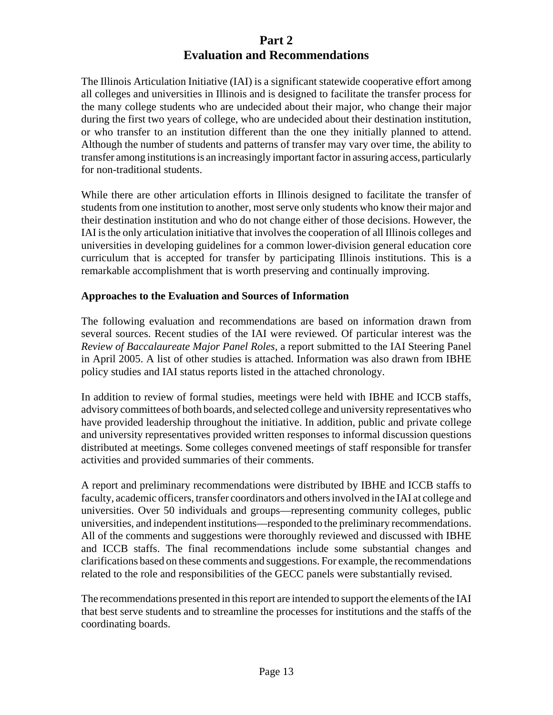# **Part 2 Evaluation and Recommendations**

The Illinois Articulation Initiative (IAI) is a significant statewide cooperative effort among all colleges and universities in Illinois and is designed to facilitate the transfer process for the many college students who are undecided about their major, who change their major during the first two years of college, who are undecided about their destination institution, or who transfer to an institution different than the one they initially planned to attend. Although the number of students and patterns of transfer may vary over time, the ability to transfer among institutions is an increasingly important factor in assuring access, particularly for non-traditional students.

While there are other articulation efforts in Illinois designed to facilitate the transfer of students from one institution to another, most serve only students who know their major and their destination institution and who do not change either of those decisions. However, the IAI is the only articulation initiative that involves the cooperation of all Illinois colleges and universities in developing guidelines for a common lower-division general education core curriculum that is accepted for transfer by participating Illinois institutions. This is a remarkable accomplishment that is worth preserving and continually improving.

#### **Approaches to the Evaluation and Sources of Information**

The following evaluation and recommendations are based on information drawn from several sources. Recent studies of the IAI were reviewed. Of particular interest was the *Review of Baccalaureate Major Panel Roles,* a report submitted to the IAI Steering Panel in April 2005. A list of other studies is attached. Information was also drawn from IBHE policy studies and IAI status reports listed in the attached chronology.

In addition to review of formal studies, meetings were held with IBHE and ICCB staffs, advisory committees of both boards, and selected college and university representatives who have provided leadership throughout the initiative. In addition, public and private college and university representatives provided written responses to informal discussion questions distributed at meetings. Some colleges convened meetings of staff responsible for transfer activities and provided summaries of their comments.

A report and preliminary recommendations were distributed by IBHE and ICCB staffs to faculty, academic officers, transfer coordinators and others involved in the IAI at college and universities. Over 50 individuals and groups—representing community colleges, public universities, and independent institutions—responded to the preliminary recommendations. All of the comments and suggestions were thoroughly reviewed and discussed with IBHE and ICCB staffs. The final recommendations include some substantial changes and clarifications based on these comments and suggestions. For example, the recommendations related to the role and responsibilities of the GECC panels were substantially revised.

The recommendations presented in this report are intended to support the elements of the IAI that best serve students and to streamline the processes for institutions and the staffs of the coordinating boards.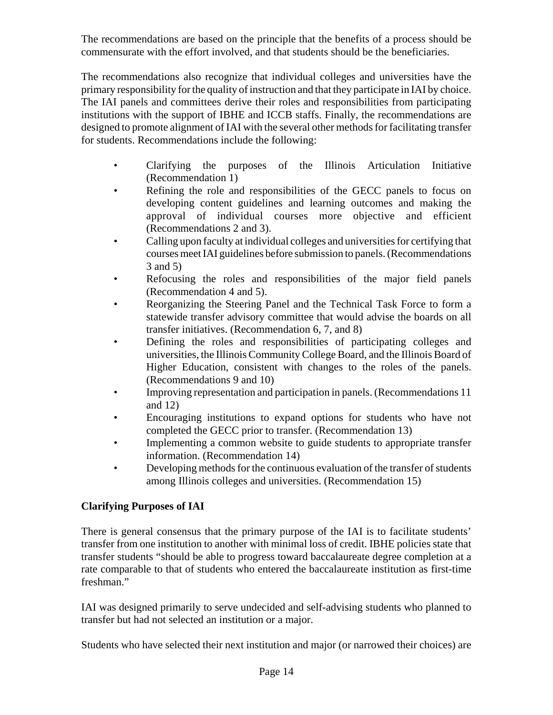The recommendations are based on the principle that the benefits of a process should be commensurate with the effort involved, and that students should be the beneficiaries.

The recommendations also recognize that individual colleges and universities have the primary responsibility for the quality of instruction and that they participate in IAI by choice. The IAI panels and committees derive their roles and responsibilities from participating institutions with the support of IBHE and ICCB staffs. Finally, the recommendations are designed to promote alignment of IAI with the several other methods for facilitating transfer for students. Recommendations include the following:

- Clarifying the purposes of the Illinois Articulation Initiative (Recommendation 1)
- Refining the role and responsibilities of the GECC panels to focus on developing content guidelines and learning outcomes and making the approval of individual courses more objective and efficient (Recommendations 2 and 3).
- Calling upon faculty at individual colleges and universities for certifying that courses meet IAI guidelines before submission to panels. (Recommendations 3 and 5)
- Refocusing the roles and responsibilities of the major field panels (Recommendation 4 and 5).
- Reorganizing the Steering Panel and the Technical Task Force to form a statewide transfer advisory committee that would advise the boards on all transfer initiatives. (Recommendation 6, 7, and 8)
- Defining the roles and responsibilities of participating colleges and universities, the Illinois Community College Board, and the Illinois Board of Higher Education, consistent with changes to the roles of the panels. (Recommendations 9 and 10)
- Improving representation and participation in panels. (Recommendations 11) and 12)
- Encouraging institutions to expand options for students who have not completed the GECC prior to transfer. (Recommendation 13)
- Implementing a common website to guide students to appropriate transfer information. (Recommendation 14)
- Developing methods for the continuous evaluation of the transfer of students among Illinois colleges and universities. (Recommendation 15)

# **Clarifying Purposes of IAI**

There is general consensus that the primary purpose of the IAI is to facilitate students' transfer from one institution to another with minimal loss of credit. IBHE policies state that transfer students "should be able to progress toward baccalaureate degree completion at a rate comparable to that of students who entered the baccalaureate institution as first-time freshman."

IAI was designed primarily to serve undecided and self-advising students who planned to transfer but had not selected an institution or a major.

Students who have selected their next institution and major (or narrowed their choices) are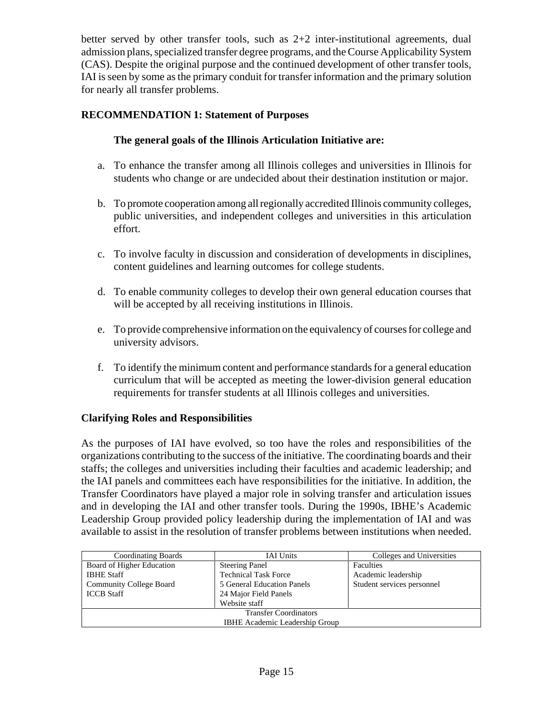better served by other transfer tools, such as 2+2 inter-institutional agreements, dual admission plans, specialized transfer degree programs, and the Course Applicability System (CAS). Despite the original purpose and the continued development of other transfer tools, IAI is seen by some as the primary conduit for transfer information and the primary solution for nearly all transfer problems.

# **RECOMMENDATION 1: Statement of Purposes**

## **The general goals of the Illinois Articulation Initiative are:**

- a. To enhance the transfer among all Illinois colleges and universities in Illinois for students who change or are undecided about their destination institution or major.
- b. To promote cooperation among all regionally accredited Illinois community colleges, public universities, and independent colleges and universities in this articulation effort.
- c. To involve faculty in discussion and consideration of developments in disciplines, content guidelines and learning outcomes for college students.
- d. To enable community colleges to develop their own general education courses that will be accepted by all receiving institutions in Illinois.
- e. To provide comprehensive information on the equivalency of courses for college and university advisors.
- f. To identify the minimum content and performance standards for a general education curriculum that will be accepted as meeting the lower-division general education requirements for transfer students at all Illinois colleges and universities.

#### **Clarifying Roles and Responsibilities**

As the purposes of IAI have evolved, so too have the roles and responsibilities of the organizations contributing to the success of the initiative. The coordinating boards and their staffs; the colleges and universities including their faculties and academic leadership; and the IAI panels and committees each have responsibilities for the initiative. In addition, the Transfer Coordinators have played a major role in solving transfer and articulation issues and in developing the IAI and other transfer tools. During the 1990s, IBHE's Academic Leadership Group provided policy leadership during the implementation of IAI and was available to assist in the resolution of transfer problems between institutions when needed.

| <b>Coordinating Boards</b>     | <b>IAI</b> Units            | Colleges and Universities  |  |  |  |
|--------------------------------|-----------------------------|----------------------------|--|--|--|
| Board of Higher Education      | <b>Steering Panel</b>       | <b>Faculties</b>           |  |  |  |
| <b>IBHE Staff</b>              | <b>Technical Task Force</b> | Academic leadership        |  |  |  |
| <b>Community College Board</b> | 5 General Education Panels  | Student services personnel |  |  |  |
| <b>ICCB</b> Staff              | 24 Major Field Panels       |                            |  |  |  |
|                                | Website staff               |                            |  |  |  |
| <b>Transfer Coordinators</b>   |                             |                            |  |  |  |
| IBHE Academic Leadership Group |                             |                            |  |  |  |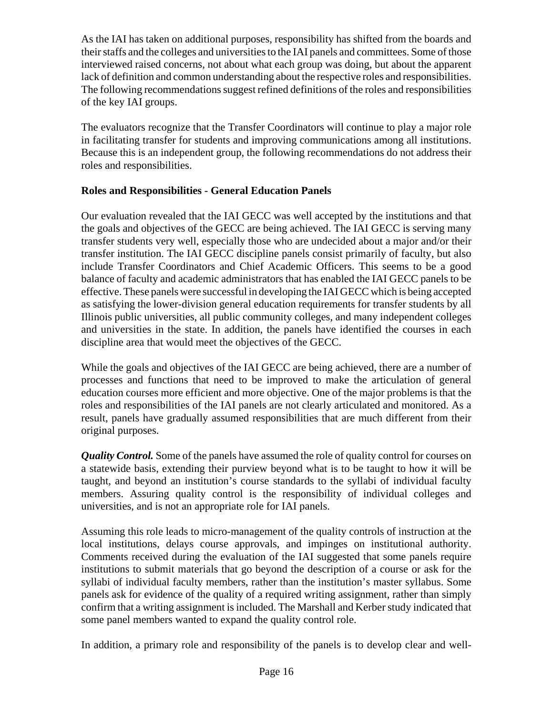As the IAI has taken on additional purposes, responsibility has shifted from the boards and their staffs and the colleges and universities to the IAI panels and committees. Some of those interviewed raised concerns, not about what each group was doing, but about the apparent lack of definition and common understanding about the respective roles and responsibilities. The following recommendations suggest refined definitions of the roles and responsibilities of the key IAI groups.

The evaluators recognize that the Transfer Coordinators will continue to play a major role in facilitating transfer for students and improving communications among all institutions. Because this is an independent group, the following recommendations do not address their roles and responsibilities.

# **Roles and Responsibilities - General Education Panels**

Our evaluation revealed that the IAI GECC was well accepted by the institutions and that the goals and objectives of the GECC are being achieved. The IAI GECC is serving many transfer students very well, especially those who are undecided about a major and/or their transfer institution. The IAI GECC discipline panels consist primarily of faculty, but also include Transfer Coordinators and Chief Academic Officers. This seems to be a good balance of faculty and academic administrators that has enabled the IAI GECC panels to be effective. These panels were successful in developing the IAI GECC which is being accepted as satisfying the lower-division general education requirements for transfer students by all Illinois public universities, all public community colleges, and many independent colleges and universities in the state. In addition, the panels have identified the courses in each discipline area that would meet the objectives of the GECC.

While the goals and objectives of the IAI GECC are being achieved, there are a number of processes and functions that need to be improved to make the articulation of general education courses more efficient and more objective. One of the major problems is that the roles and responsibilities of the IAI panels are not clearly articulated and monitored. As a result, panels have gradually assumed responsibilities that are much different from their original purposes.

*Quality Control.* Some of the panels have assumed the role of quality control for courses on a statewide basis, extending their purview beyond what is to be taught to how it will be taught, and beyond an institution's course standards to the syllabi of individual faculty members. Assuring quality control is the responsibility of individual colleges and universities, and is not an appropriate role for IAI panels.

Assuming this role leads to micro-management of the quality controls of instruction at the local institutions, delays course approvals, and impinges on institutional authority. Comments received during the evaluation of the IAI suggested that some panels require institutions to submit materials that go beyond the description of a course or ask for the syllabi of individual faculty members, rather than the institution's master syllabus. Some panels ask for evidence of the quality of a required writing assignment, rather than simply confirm that a writing assignment is included. The Marshall and Kerber study indicated that some panel members wanted to expand the quality control role.

In addition, a primary role and responsibility of the panels is to develop clear and well-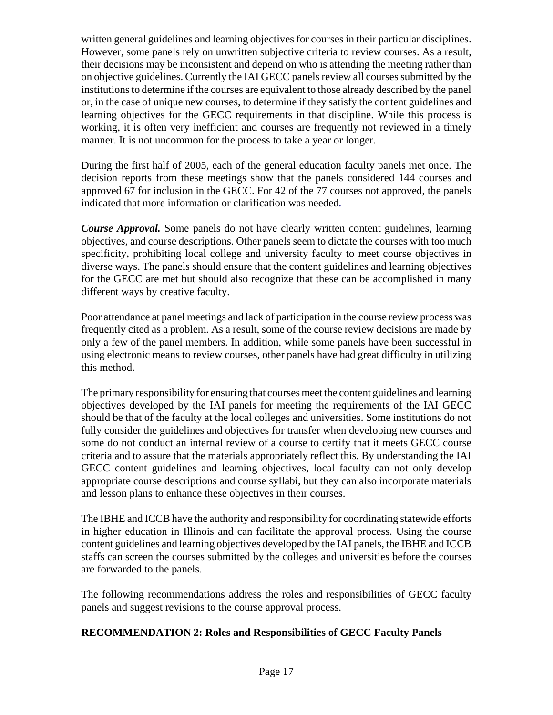written general guidelines and learning objectives for courses in their particular disciplines. However, some panels rely on unwritten subjective criteria to review courses. As a result, their decisions may be inconsistent and depend on who is attending the meeting rather than on objective guidelines. Currently the IAI GECC panels review all courses submitted by the institutions to determine if the courses are equivalent to those already described by the panel or, in the case of unique new courses, to determine if they satisfy the content guidelines and learning objectives for the GECC requirements in that discipline. While this process is working, it is often very inefficient and courses are frequently not reviewed in a timely manner. It is not uncommon for the process to take a year or longer.

During the first half of 2005, each of the general education faculty panels met once. The decision reports from these meetings show that the panels considered 144 courses and approved 67 for inclusion in the GECC. For 42 of the 77 courses not approved, the panels indicated that more information or clarification was needed.

*Course Approval.* Some panels do not have clearly written content guidelines, learning objectives, and course descriptions. Other panels seem to dictate the courses with too much specificity, prohibiting local college and university faculty to meet course objectives in diverse ways. The panels should ensure that the content guidelines and learning objectives for the GECC are met but should also recognize that these can be accomplished in many different ways by creative faculty.

Poor attendance at panel meetings and lack of participation in the course review process was frequently cited as a problem. As a result, some of the course review decisions are made by only a few of the panel members. In addition, while some panels have been successful in using electronic means to review courses, other panels have had great difficulty in utilizing this method.

The primary responsibility for ensuring that courses meet the content guidelines and learning objectives developed by the IAI panels for meeting the requirements of the IAI GECC should be that of the faculty at the local colleges and universities. Some institutions do not fully consider the guidelines and objectives for transfer when developing new courses and some do not conduct an internal review of a course to certify that it meets GECC course criteria and to assure that the materials appropriately reflect this. By understanding the IAI GECC content guidelines and learning objectives, local faculty can not only develop appropriate course descriptions and course syllabi, but they can also incorporate materials and lesson plans to enhance these objectives in their courses.

The IBHE and ICCB have the authority and responsibility for coordinating statewide efforts in higher education in Illinois and can facilitate the approval process. Using the course content guidelines and learning objectives developed by the IAI panels, the IBHE and ICCB staffs can screen the courses submitted by the colleges and universities before the courses are forwarded to the panels.

The following recommendations address the roles and responsibilities of GECC faculty panels and suggest revisions to the course approval process.

# **RECOMMENDATION 2: Roles and Responsibilities of GECC Faculty Panels**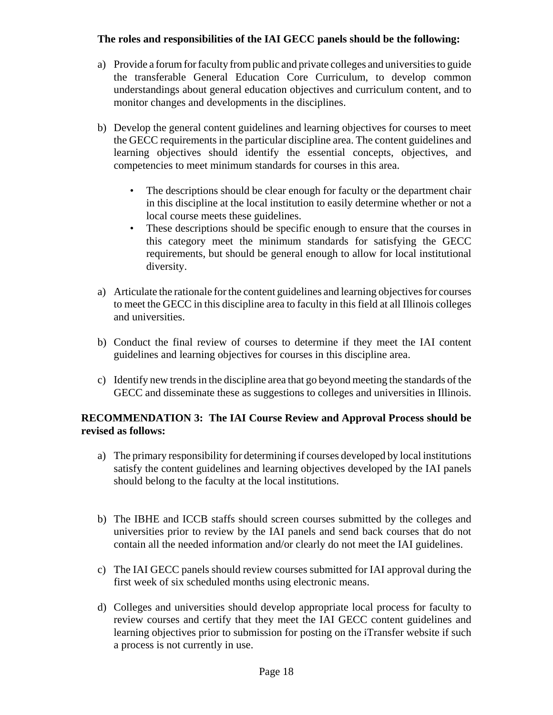## **The roles and responsibilities of the IAI GECC panels should be the following:**

- a) Provide a forum for faculty from public and private colleges and universities to guide the transferable General Education Core Curriculum, to develop common understandings about general education objectives and curriculum content, and to monitor changes and developments in the disciplines.
- b) Develop the general content guidelines and learning objectives for courses to meet the GECC requirements in the particular discipline area. The content guidelines and learning objectives should identify the essential concepts, objectives, and competencies to meet minimum standards for courses in this area.
	- The descriptions should be clear enough for faculty or the department chair in this discipline at the local institution to easily determine whether or not a local course meets these guidelines.
	- These descriptions should be specific enough to ensure that the courses in this category meet the minimum standards for satisfying the GECC requirements, but should be general enough to allow for local institutional diversity.
- a) Articulate the rationale for the content guidelines and learning objectives for courses to meet the GECC in this discipline area to faculty in this field at all Illinois colleges and universities.
- b) Conduct the final review of courses to determine if they meet the IAI content guidelines and learning objectives for courses in this discipline area.
- c) Identify new trends in the discipline area that go beyond meeting the standards of the GECC and disseminate these as suggestions to colleges and universities in Illinois.

# **RECOMMENDATION 3: The IAI Course Review and Approval Process should be revised as follows:**

- a) The primary responsibility for determining if courses developed by local institutions satisfy the content guidelines and learning objectives developed by the IAI panels should belong to the faculty at the local institutions.
- b) The IBHE and ICCB staffs should screen courses submitted by the colleges and universities prior to review by the IAI panels and send back courses that do not contain all the needed information and/or clearly do not meet the IAI guidelines.
- c) The IAI GECC panels should review courses submitted for IAI approval during the first week of six scheduled months using electronic means.
- d) Colleges and universities should develop appropriate local process for faculty to review courses and certify that they meet the IAI GECC content guidelines and learning objectives prior to submission for posting on the iTransfer website if such a process is not currently in use.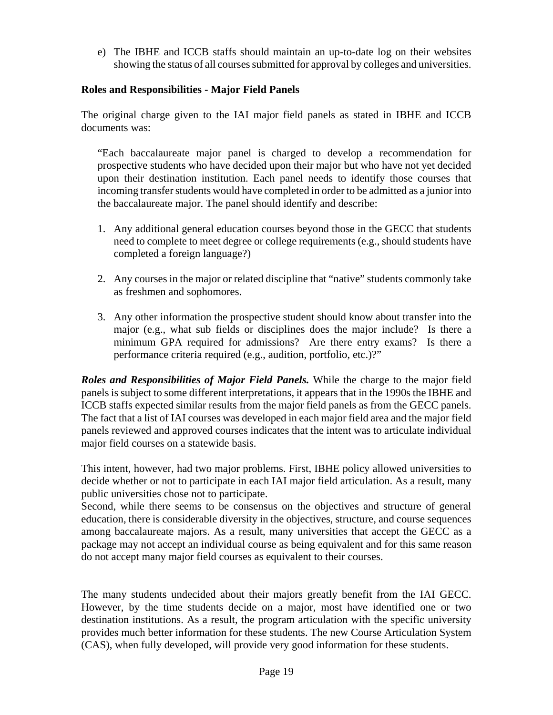e) The IBHE and ICCB staffs should maintain an up-to-date log on their websites showing the status of all courses submitted for approval by colleges and universities.

## **Roles and Responsibilities - Major Field Panels**

The original charge given to the IAI major field panels as stated in IBHE and ICCB documents was:

"Each baccalaureate major panel is charged to develop a recommendation for prospective students who have decided upon their major but who have not yet decided upon their destination institution. Each panel needs to identify those courses that incoming transfer students would have completed in order to be admitted as a junior into the baccalaureate major. The panel should identify and describe:

- 1. Any additional general education courses beyond those in the GECC that students need to complete to meet degree or college requirements (e.g., should students have completed a foreign language?)
- 2. Any courses in the major or related discipline that "native" students commonly take as freshmen and sophomores.
- 3. Any other information the prospective student should know about transfer into the major (e.g., what sub fields or disciplines does the major include? Is there a minimum GPA required for admissions? Are there entry exams? Is there a performance criteria required (e.g., audition, portfolio, etc.)?"

*Roles and Responsibilities of Major Field Panels.* While the charge to the major field panels is subject to some different interpretations, it appears that in the 1990s the IBHE and ICCB staffs expected similar results from the major field panels as from the GECC panels. The fact that a list of IAI courses was developed in each major field area and the major field panels reviewed and approved courses indicates that the intent was to articulate individual major field courses on a statewide basis.

This intent, however, had two major problems. First, IBHE policy allowed universities to decide whether or not to participate in each IAI major field articulation. As a result, many public universities chose not to participate.

Second, while there seems to be consensus on the objectives and structure of general education, there is considerable diversity in the objectives, structure, and course sequences among baccalaureate majors. As a result, many universities that accept the GECC as a package may not accept an individual course as being equivalent and for this same reason do not accept many major field courses as equivalent to their courses.

The many students undecided about their majors greatly benefit from the IAI GECC. However, by the time students decide on a major, most have identified one or two destination institutions. As a result, the program articulation with the specific university provides much better information for these students. The new Course Articulation System (CAS), when fully developed, will provide very good information for these students.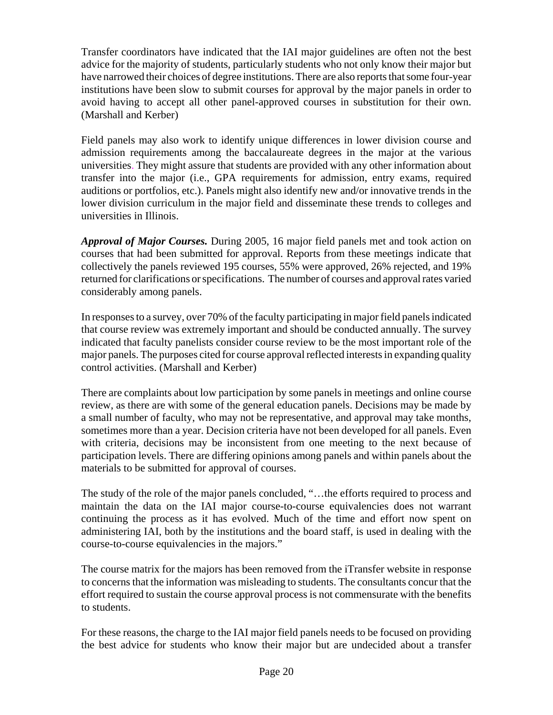Transfer coordinators have indicated that the IAI major guidelines are often not the best advice for the majority of students, particularly students who not only know their major but have narrowed their choices of degree institutions. There are also reports that some four-year institutions have been slow to submit courses for approval by the major panels in order to avoid having to accept all other panel-approved courses in substitution for their own. (Marshall and Kerber)

Field panels may also work to identify unique differences in lower division course and admission requirements among the baccalaureate degrees in the major at the various universities. They might assure that students are provided with any other information about transfer into the major (i.e., GPA requirements for admission, entry exams, required auditions or portfolios, etc.). Panels might also identify new and/or innovative trends in the lower division curriculum in the major field and disseminate these trends to colleges and universities in Illinois.

*Approval of Major Courses.* During 2005, 16 major field panels met and took action on courses that had been submitted for approval. Reports from these meetings indicate that collectively the panels reviewed 195 courses, 55% were approved, 26% rejected, and 19% returned for clarifications or specifications. The number of courses and approval rates varied considerably among panels.

In responses to a survey, over 70% of the faculty participating in major field panels indicated that course review was extremely important and should be conducted annually. The survey indicated that faculty panelists consider course review to be the most important role of the major panels. The purposes cited for course approval reflected interests in expanding quality control activities. (Marshall and Kerber)

There are complaints about low participation by some panels in meetings and online course review, as there are with some of the general education panels. Decisions may be made by a small number of faculty, who may not be representative, and approval may take months, sometimes more than a year. Decision criteria have not been developed for all panels. Even with criteria, decisions may be inconsistent from one meeting to the next because of participation levels. There are differing opinions among panels and within panels about the materials to be submitted for approval of courses.

The study of the role of the major panels concluded, "…the efforts required to process and maintain the data on the IAI major course-to-course equivalencies does not warrant continuing the process as it has evolved. Much of the time and effort now spent on administering IAI, both by the institutions and the board staff, is used in dealing with the course-to-course equivalencies in the majors."

The course matrix for the majors has been removed from the iTransfer website in response to concerns that the information was misleading to students. The consultants concur that the effort required to sustain the course approval process is not commensurate with the benefits to students.

For these reasons, the charge to the IAI major field panels needs to be focused on providing the best advice for students who know their major but are undecided about a transfer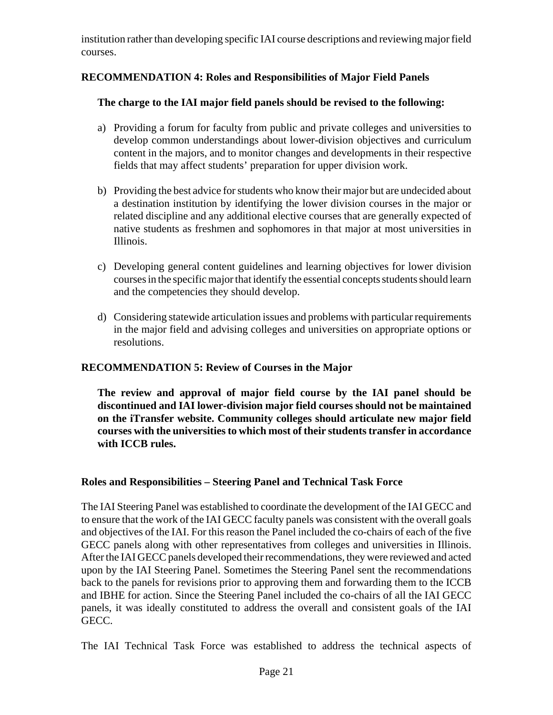institution rather than developing specific IAI course descriptions and reviewing major field courses.

# **RECOMMENDATION 4: Roles and Responsibilities of Major Field Panels**

#### **The charge to the IAI major field panels should be revised to the following:**

- a) Providing a forum for faculty from public and private colleges and universities to develop common understandings about lower-division objectives and curriculum content in the majors, and to monitor changes and developments in their respective fields that may affect students' preparation for upper division work.
- b) Providing the best advice for students who know their major but are undecided about a destination institution by identifying the lower division courses in the major or related discipline and any additional elective courses that are generally expected of native students as freshmen and sophomores in that major at most universities in Illinois.
- c) Developing general content guidelines and learning objectives for lower division courses in the specific major that identify the essential concepts students should learn and the competencies they should develop.
- d) Considering statewide articulation issues and problems with particular requirements in the major field and advising colleges and universities on appropriate options or resolutions.

#### **RECOMMENDATION 5: Review of Courses in the Major**

**The review and approval of major field course by the IAI panel should be discontinued and IAI lower-division major field courses should not be maintained on the iTransfer website. Community colleges should articulate new major field courses with the universities to which most of their students transfer in accordance with ICCB rules.** 

#### **Roles and Responsibilities – Steering Panel and Technical Task Force**

The IAI Steering Panel was established to coordinate the development of the IAI GECC and to ensure that the work of the IAI GECC faculty panels was consistent with the overall goals and objectives of the IAI. For this reason the Panel included the co-chairs of each of the five GECC panels along with other representatives from colleges and universities in Illinois. After the IAI GECC panels developed their recommendations, they were reviewed and acted upon by the IAI Steering Panel. Sometimes the Steering Panel sent the recommendations back to the panels for revisions prior to approving them and forwarding them to the ICCB and IBHE for action. Since the Steering Panel included the co-chairs of all the IAI GECC panels, it was ideally constituted to address the overall and consistent goals of the IAI GECC.

The IAI Technical Task Force was established to address the technical aspects of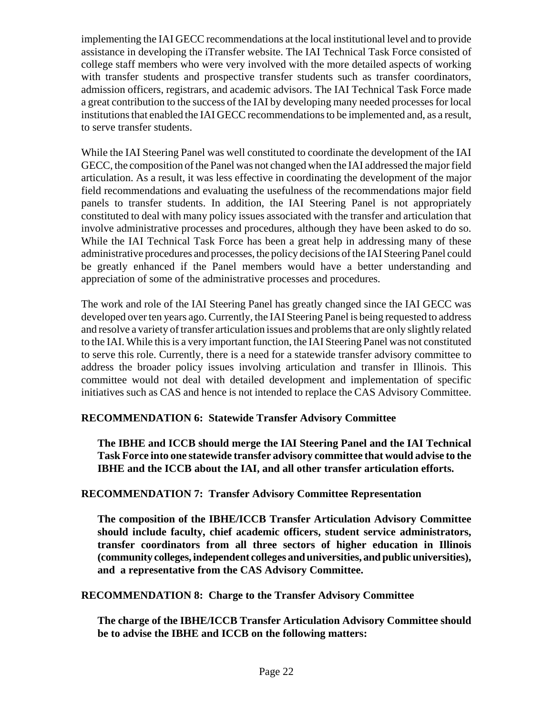implementing the IAI GECC recommendations at the local institutional level and to provide assistance in developing the iTransfer website. The IAI Technical Task Force consisted of college staff members who were very involved with the more detailed aspects of working with transfer students and prospective transfer students such as transfer coordinators, admission officers, registrars, and academic advisors. The IAI Technical Task Force made a great contribution to the success of the IAI by developing many needed processes for local institutions that enabled the IAI GECC recommendations to be implemented and, as a result, to serve transfer students.

While the IAI Steering Panel was well constituted to coordinate the development of the IAI GECC, the composition of the Panel was not changed when the IAI addressed the major field articulation. As a result, it was less effective in coordinating the development of the major field recommendations and evaluating the usefulness of the recommendations major field panels to transfer students. In addition, the IAI Steering Panel is not appropriately constituted to deal with many policy issues associated with the transfer and articulation that involve administrative processes and procedures, although they have been asked to do so. While the IAI Technical Task Force has been a great help in addressing many of these administrative procedures and processes, the policy decisions of the IAI Steering Panel could be greatly enhanced if the Panel members would have a better understanding and appreciation of some of the administrative processes and procedures.

The work and role of the IAI Steering Panel has greatly changed since the IAI GECC was developed over ten years ago. Currently, the IAI Steering Panel is being requested to address and resolve a variety of transfer articulation issues and problems that are only slightly related to the IAI. While this is a very important function, the IAI Steering Panel was not constituted to serve this role. Currently, there is a need for a statewide transfer advisory committee to address the broader policy issues involving articulation and transfer in Illinois. This committee would not deal with detailed development and implementation of specific initiatives such as CAS and hence is not intended to replace the CAS Advisory Committee.

# **RECOMMENDATION 6: Statewide Transfer Advisory Committee**

**The IBHE and ICCB should merge the IAI Steering Panel and the IAI Technical Task Force into one statewide transfer advisory committee that would advise to the IBHE and the ICCB about the IAI, and all other transfer articulation efforts.** 

#### **RECOMMENDATION 7: Transfer Advisory Committee Representation**

**The composition of the IBHE/ICCB Transfer Articulation Advisory Committee should include faculty, chief academic officers, student service administrators, transfer coordinators from all three sectors of higher education in Illinois (community colleges, independent colleges and universities, and public universities), and a representative from the CAS Advisory Committee.**

#### **RECOMMENDATION 8: Charge to the Transfer Advisory Committee**

**The charge of the IBHE/ICCB Transfer Articulation Advisory Committee should be to advise the IBHE and ICCB on the following matters:**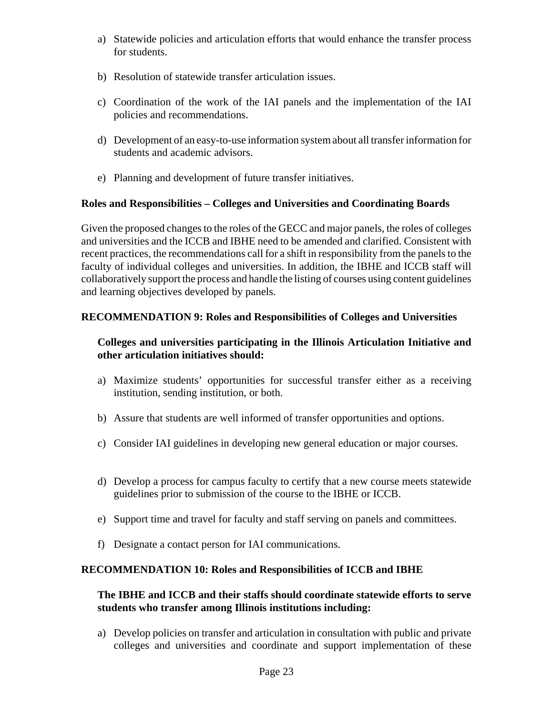- a) Statewide policies and articulation efforts that would enhance the transfer process for students.
- b) Resolution of statewide transfer articulation issues.
- c) Coordination of the work of the IAI panels and the implementation of the IAI policies and recommendations.
- d) Development of an easy-to-use information system about all transfer information for students and academic advisors.
- e) Planning and development of future transfer initiatives.

# **Roles and Responsibilities – Colleges and Universities and Coordinating Boards**

Given the proposed changes to the roles of the GECC and major panels, the roles of colleges and universities and the ICCB and IBHE need to be amended and clarified. Consistent with recent practices, the recommendations call for a shift in responsibility from the panels to the faculty of individual colleges and universities. In addition, the IBHE and ICCB staff will collaboratively support the process and handle the listing of courses using content guidelines and learning objectives developed by panels.

# **RECOMMENDATION 9: Roles and Responsibilities of Colleges and Universities**

# **Colleges and universities participating in the Illinois Articulation Initiative and other articulation initiatives should:**

- a) Maximize students' opportunities for successful transfer either as a receiving institution, sending institution, or both.
- b) Assure that students are well informed of transfer opportunities and options.
- c) Consider IAI guidelines in developing new general education or major courses.
- d) Develop a process for campus faculty to certify that a new course meets statewide guidelines prior to submission of the course to the IBHE or ICCB.
- e) Support time and travel for faculty and staff serving on panels and committees.
- f) Designate a contact person for IAI communications.

# **RECOMMENDATION 10: Roles and Responsibilities of ICCB and IBHE**

#### **The IBHE and ICCB and their staffs should coordinate statewide efforts to serve students who transfer among Illinois institutions including:**

a) Develop policies on transfer and articulation in consultation with public and private colleges and universities and coordinate and support implementation of these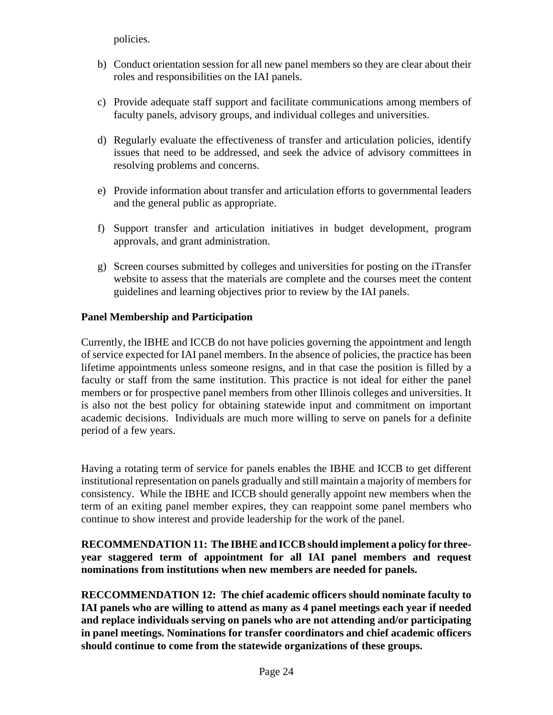policies.

- b) Conduct orientation session for all new panel members so they are clear about their roles and responsibilities on the IAI panels.
- c) Provide adequate staff support and facilitate communications among members of faculty panels, advisory groups, and individual colleges and universities.
- d) Regularly evaluate the effectiveness of transfer and articulation policies, identify issues that need to be addressed, and seek the advice of advisory committees in resolving problems and concerns.
- e) Provide information about transfer and articulation efforts to governmental leaders and the general public as appropriate.
- f) Support transfer and articulation initiatives in budget development, program approvals, and grant administration.
- g) Screen courses submitted by colleges and universities for posting on the iTransfer website to assess that the materials are complete and the courses meet the content guidelines and learning objectives prior to review by the IAI panels.

#### **Panel Membership and Participation**

Currently, the IBHE and ICCB do not have policies governing the appointment and length of service expected for IAI panel members. In the absence of policies, the practice has been lifetime appointments unless someone resigns, and in that case the position is filled by a faculty or staff from the same institution. This practice is not ideal for either the panel members or for prospective panel members from other Illinois colleges and universities. It is also not the best policy for obtaining statewide input and commitment on important academic decisions. Individuals are much more willing to serve on panels for a definite period of a few years.

Having a rotating term of service for panels enables the IBHE and ICCB to get different institutional representation on panels gradually and still maintain a majority of members for consistency. While the IBHE and ICCB should generally appoint new members when the term of an exiting panel member expires, they can reappoint some panel members who continue to show interest and provide leadership for the work of the panel.

#### **RECOMMENDATION 11: The IBHE and ICCB should implement a policy for threeyear staggered term of appointment for all IAI panel members and request nominations from institutions when new members are needed for panels.**

**RECCOMMENDATION 12: The chief academic officers should nominate faculty to IAI panels who are willing to attend as many as 4 panel meetings each year if needed and replace individuals serving on panels who are not attending and/or participating in panel meetings. Nominations for transfer coordinators and chief academic officers should continue to come from the statewide organizations of these groups.**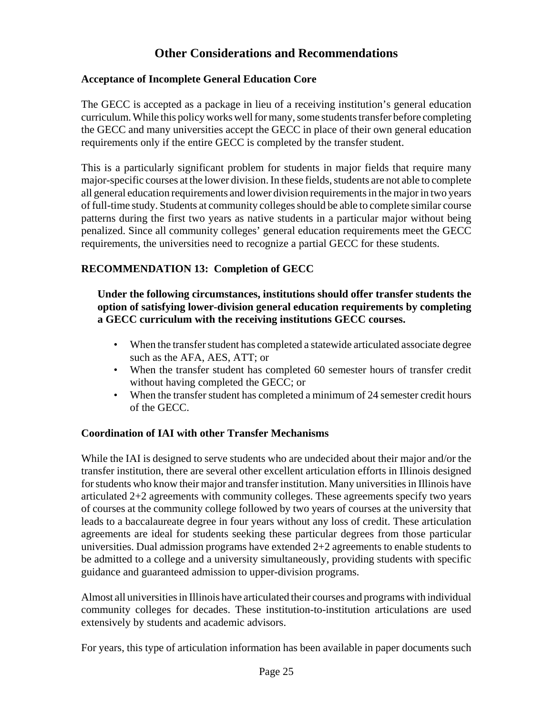# **Other Considerations and Recommendations**

#### **Acceptance of Incomplete General Education Core**

The GECC is accepted as a package in lieu of a receiving institution's general education curriculum. While this policy works well for many, some students transfer before completing the GECC and many universities accept the GECC in place of their own general education requirements only if the entire GECC is completed by the transfer student.

This is a particularly significant problem for students in major fields that require many major-specific courses at the lower division. In these fields, students are not able to complete all general education requirements and lower division requirements in the major in two years of full-time study. Students at community colleges should be able to complete similar course patterns during the first two years as native students in a particular major without being penalized. Since all community colleges' general education requirements meet the GECC requirements, the universities need to recognize a partial GECC for these students.

# **RECOMMENDATION 13: Completion of GECC**

#### **Under the following circumstances, institutions should offer transfer students the option of satisfying lower-division general education requirements by completing a GECC curriculum with the receiving institutions GECC courses.**

- When the transfer student has completed a statewide articulated associate degree such as the AFA, AES, ATT; or
- When the transfer student has completed 60 semester hours of transfer credit without having completed the GECC; or
- When the transfer student has completed a minimum of 24 semester credit hours of the GECC.

#### **Coordination of IAI with other Transfer Mechanisms**

While the IAI is designed to serve students who are undecided about their major and/or the transfer institution, there are several other excellent articulation efforts in Illinois designed for students who know their major and transfer institution. Many universities in Illinois have articulated 2+2 agreements with community colleges. These agreements specify two years of courses at the community college followed by two years of courses at the university that leads to a baccalaureate degree in four years without any loss of credit. These articulation agreements are ideal for students seeking these particular degrees from those particular universities. Dual admission programs have extended 2+2 agreements to enable students to be admitted to a college and a university simultaneously, providing students with specific guidance and guaranteed admission to upper-division programs.

Almost all universities in Illinois have articulated their courses and programs with individual community colleges for decades. These institution-to-institution articulations are used extensively by students and academic advisors.

For years, this type of articulation information has been available in paper documents such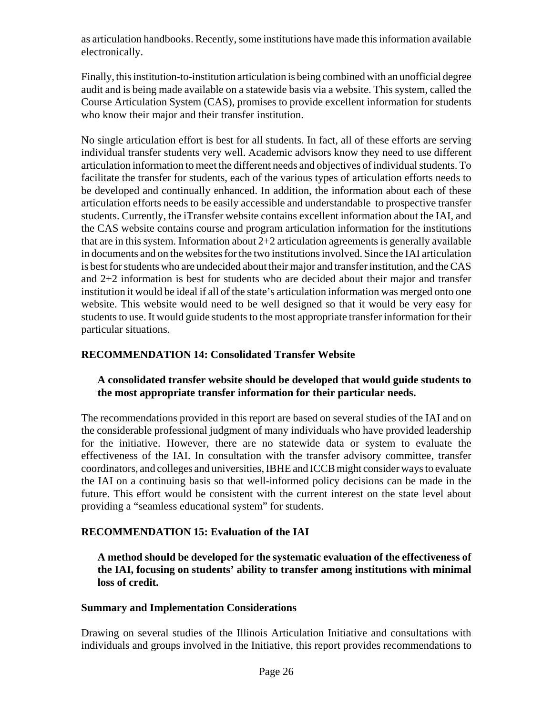as articulation handbooks. Recently, some institutions have made this information available electronically.

Finally, this institution-to-institution articulation is being combined with an unofficial degree audit and is being made available on a statewide basis via a website. This system, called the Course Articulation System (CAS), promises to provide excellent information for students who know their major and their transfer institution.

No single articulation effort is best for all students. In fact, all of these efforts are serving individual transfer students very well. Academic advisors know they need to use different articulation information to meet the different needs and objectives of individual students. To facilitate the transfer for students, each of the various types of articulation efforts needs to be developed and continually enhanced. In addition, the information about each of these articulation efforts needs to be easily accessible and understandable to prospective transfer students. Currently, the iTransfer website contains excellent information about the IAI, and the CAS website contains course and program articulation information for the institutions that are in this system. Information about  $2+2$  articulation agreements is generally available in documents and on the websites for the two institutions involved. Since the IAI articulation is best for students who are undecided about their major and transfer institution, and the CAS and 2+2 information is best for students who are decided about their major and transfer institution it would be ideal if all of the state's articulation information was merged onto one website. This website would need to be well designed so that it would be very easy for students to use. It would guide students to the most appropriate transfer information for their particular situations.

# **RECOMMENDATION 14: Consolidated Transfer Website**

# **A consolidated transfer website should be developed that would guide students to the most appropriate transfer information for their particular needs.**

The recommendations provided in this report are based on several studies of the IAI and on the considerable professional judgment of many individuals who have provided leadership for the initiative. However, there are no statewide data or system to evaluate the effectiveness of the IAI. In consultation with the transfer advisory committee, transfer coordinators, and colleges and universities, IBHE and ICCB might consider ways to evaluate the IAI on a continuing basis so that well-informed policy decisions can be made in the future. This effort would be consistent with the current interest on the state level about providing a "seamless educational system" for students.

# **RECOMMENDATION 15: Evaluation of the IAI**

**A method should be developed for the systematic evaluation of the effectiveness of the IAI, focusing on students' ability to transfer among institutions with minimal loss of credit.**

# **Summary and Implementation Considerations**

Drawing on several studies of the Illinois Articulation Initiative and consultations with individuals and groups involved in the Initiative, this report provides recommendations to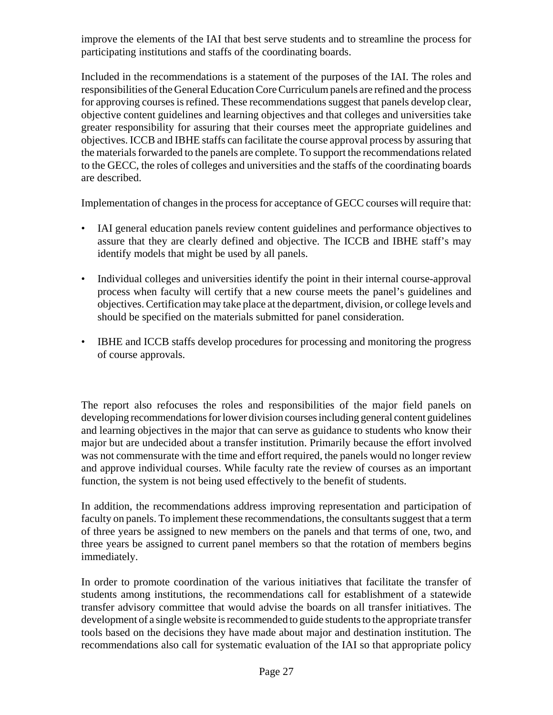improve the elements of the IAI that best serve students and to streamline the process for participating institutions and staffs of the coordinating boards.

Included in the recommendations is a statement of the purposes of the IAI. The roles and responsibilities of the General Education Core Curriculum panels are refined and the process for approving courses is refined. These recommendations suggest that panels develop clear, objective content guidelines and learning objectives and that colleges and universities take greater responsibility for assuring that their courses meet the appropriate guidelines and objectives. ICCB and IBHE staffs can facilitate the course approval process by assuring that the materials forwarded to the panels are complete. To support the recommendations related to the GECC, the roles of colleges and universities and the staffs of the coordinating boards are described.

Implementation of changes in the process for acceptance of GECC courses will require that:

- IAI general education panels review content guidelines and performance objectives to assure that they are clearly defined and objective. The ICCB and IBHE staff's may identify models that might be used by all panels.
- Individual colleges and universities identify the point in their internal course-approval process when faculty will certify that a new course meets the panel's guidelines and objectives. Certification may take place at the department, division, or college levels and should be specified on the materials submitted for panel consideration.
- IBHE and ICCB staffs develop procedures for processing and monitoring the progress of course approvals.

The report also refocuses the roles and responsibilities of the major field panels on developing recommendations for lower division courses including general content guidelines and learning objectives in the major that can serve as guidance to students who know their major but are undecided about a transfer institution. Primarily because the effort involved was not commensurate with the time and effort required, the panels would no longer review and approve individual courses. While faculty rate the review of courses as an important function, the system is not being used effectively to the benefit of students.

In addition, the recommendations address improving representation and participation of faculty on panels. To implement these recommendations, the consultants suggest that a term of three years be assigned to new members on the panels and that terms of one, two, and three years be assigned to current panel members so that the rotation of members begins immediately.

In order to promote coordination of the various initiatives that facilitate the transfer of students among institutions, the recommendations call for establishment of a statewide transfer advisory committee that would advise the boards on all transfer initiatives. The development of a single website is recommended to guide students to the appropriate transfer tools based on the decisions they have made about major and destination institution. The recommendations also call for systematic evaluation of the IAI so that appropriate policy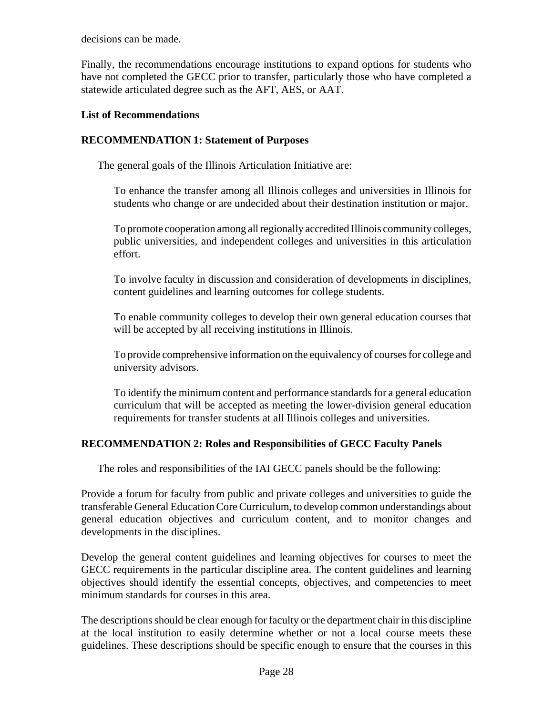decisions can be made.

Finally, the recommendations encourage institutions to expand options for students who have not completed the GECC prior to transfer, particularly those who have completed a statewide articulated degree such as the AFT, AES, or AAT.

#### **List of Recommendations**

# **RECOMMENDATION 1: Statement of Purposes**

The general goals of the Illinois Articulation Initiative are:

To enhance the transfer among all Illinois colleges and universities in Illinois for students who change or are undecided about their destination institution or major.

To promote cooperation among all regionally accredited Illinois community colleges, public universities, and independent colleges and universities in this articulation effort.

To involve faculty in discussion and consideration of developments in disciplines, content guidelines and learning outcomes for college students.

To enable community colleges to develop their own general education courses that will be accepted by all receiving institutions in Illinois.

To provide comprehensive information on the equivalency of courses for college and university advisors.

To identify the minimum content and performance standards for a general education curriculum that will be accepted as meeting the lower-division general education requirements for transfer students at all Illinois colleges and universities.

# **RECOMMENDATION 2: Roles and Responsibilities of GECC Faculty Panels**

The roles and responsibilities of the IAI GECC panels should be the following:

Provide a forum for faculty from public and private colleges and universities to guide the transferable General Education Core Curriculum, to develop common understandings about general education objectives and curriculum content, and to monitor changes and developments in the disciplines.

Develop the general content guidelines and learning objectives for courses to meet the GECC requirements in the particular discipline area. The content guidelines and learning objectives should identify the essential concepts, objectives, and competencies to meet minimum standards for courses in this area.

The descriptions should be clear enough for faculty or the department chair in this discipline at the local institution to easily determine whether or not a local course meets these guidelines. These descriptions should be specific enough to ensure that the courses in this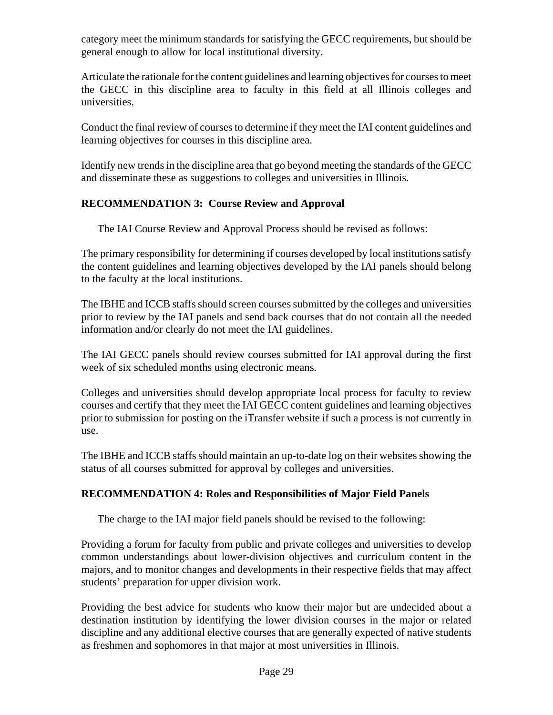category meet the minimum standards for satisfying the GECC requirements, but should be general enough to allow for local institutional diversity.

Articulate the rationale for the content guidelines and learning objectives for courses to meet the GECC in this discipline area to faculty in this field at all Illinois colleges and universities.

Conduct the final review of courses to determine if they meet the IAI content guidelines and learning objectives for courses in this discipline area.

Identify new trends in the discipline area that go beyond meeting the standards of the GECC and disseminate these as suggestions to colleges and universities in Illinois.

# **RECOMMENDATION 3: Course Review and Approval**

The IAI Course Review and Approval Process should be revised as follows:

The primary responsibility for determining if courses developed by local institutions satisfy the content guidelines and learning objectives developed by the IAI panels should belong to the faculty at the local institutions.

The IBHE and ICCB staffs should screen courses submitted by the colleges and universities prior to review by the IAI panels and send back courses that do not contain all the needed information and/or clearly do not meet the IAI guidelines.

The IAI GECC panels should review courses submitted for IAI approval during the first week of six scheduled months using electronic means.

Colleges and universities should develop appropriate local process for faculty to review courses and certify that they meet the IAI GECC content guidelines and learning objectives prior to submission for posting on the iTransfer website if such a process is not currently in use.

The IBHE and ICCB staffs should maintain an up-to-date log on their websites showing the status of all courses submitted for approval by colleges and universities.

#### **RECOMMENDATION 4: Roles and Responsibilities of Major Field Panels**

The charge to the IAI major field panels should be revised to the following:

Providing a forum for faculty from public and private colleges and universities to develop common understandings about lower-division objectives and curriculum content in the majors, and to monitor changes and developments in their respective fields that may affect students' preparation for upper division work.

Providing the best advice for students who know their major but are undecided about a destination institution by identifying the lower division courses in the major or related discipline and any additional elective courses that are generally expected of native students as freshmen and sophomores in that major at most universities in Illinois.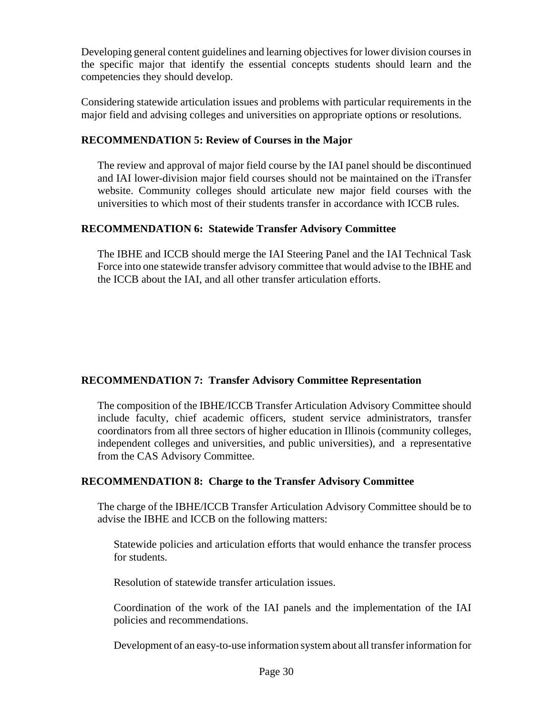Developing general content guidelines and learning objectives for lower division courses in the specific major that identify the essential concepts students should learn and the competencies they should develop.

Considering statewide articulation issues and problems with particular requirements in the major field and advising colleges and universities on appropriate options or resolutions.

#### **RECOMMENDATION 5: Review of Courses in the Major**

The review and approval of major field course by the IAI panel should be discontinued and IAI lower-division major field courses should not be maintained on the iTransfer website. Community colleges should articulate new major field courses with the universities to which most of their students transfer in accordance with ICCB rules.

# **RECOMMENDATION 6: Statewide Transfer Advisory Committee**

The IBHE and ICCB should merge the IAI Steering Panel and the IAI Technical Task Force into one statewide transfer advisory committee that would advise to the IBHE and the ICCB about the IAI, and all other transfer articulation efforts.

# **RECOMMENDATION 7: Transfer Advisory Committee Representation**

The composition of the IBHE/ICCB Transfer Articulation Advisory Committee should include faculty, chief academic officers, student service administrators, transfer coordinators from all three sectors of higher education in Illinois (community colleges, independent colleges and universities, and public universities), and a representative from the CAS Advisory Committee.

# **RECOMMENDATION 8: Charge to the Transfer Advisory Committee**

The charge of the IBHE/ICCB Transfer Articulation Advisory Committee should be to advise the IBHE and ICCB on the following matters:

Statewide policies and articulation efforts that would enhance the transfer process for students.

Resolution of statewide transfer articulation issues.

Coordination of the work of the IAI panels and the implementation of the IAI policies and recommendations.

Development of an easy-to-use information system about all transfer information for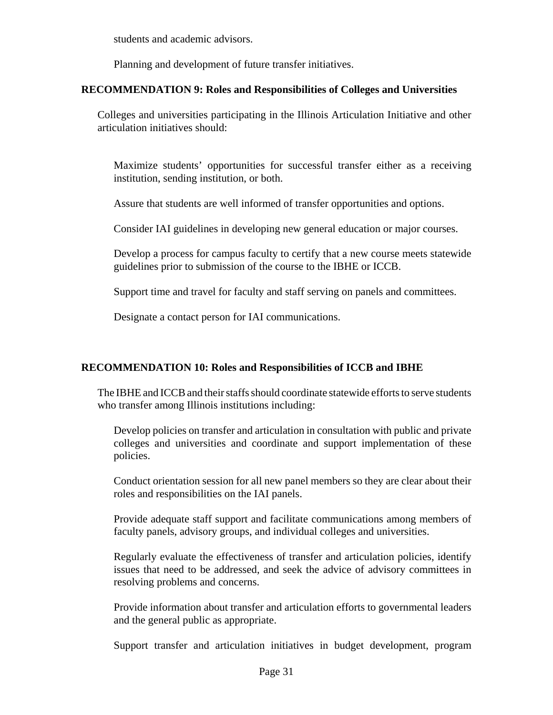students and academic advisors.

Planning and development of future transfer initiatives.

#### **RECOMMENDATION 9: Roles and Responsibilities of Colleges and Universities**

Colleges and universities participating in the Illinois Articulation Initiative and other articulation initiatives should:

Maximize students' opportunities for successful transfer either as a receiving institution, sending institution, or both.

Assure that students are well informed of transfer opportunities and options.

Consider IAI guidelines in developing new general education or major courses.

Develop a process for campus faculty to certify that a new course meets statewide guidelines prior to submission of the course to the IBHE or ICCB.

Support time and travel for faculty and staff serving on panels and committees.

Designate a contact person for IAI communications.

#### **RECOMMENDATION 10: Roles and Responsibilities of ICCB and IBHE**

The IBHE and ICCB and their staffs should coordinate statewide efforts to serve students who transfer among Illinois institutions including:

Develop policies on transfer and articulation in consultation with public and private colleges and universities and coordinate and support implementation of these policies.

Conduct orientation session for all new panel members so they are clear about their roles and responsibilities on the IAI panels.

Provide adequate staff support and facilitate communications among members of faculty panels, advisory groups, and individual colleges and universities.

Regularly evaluate the effectiveness of transfer and articulation policies, identify issues that need to be addressed, and seek the advice of advisory committees in resolving problems and concerns.

Provide information about transfer and articulation efforts to governmental leaders and the general public as appropriate.

Support transfer and articulation initiatives in budget development, program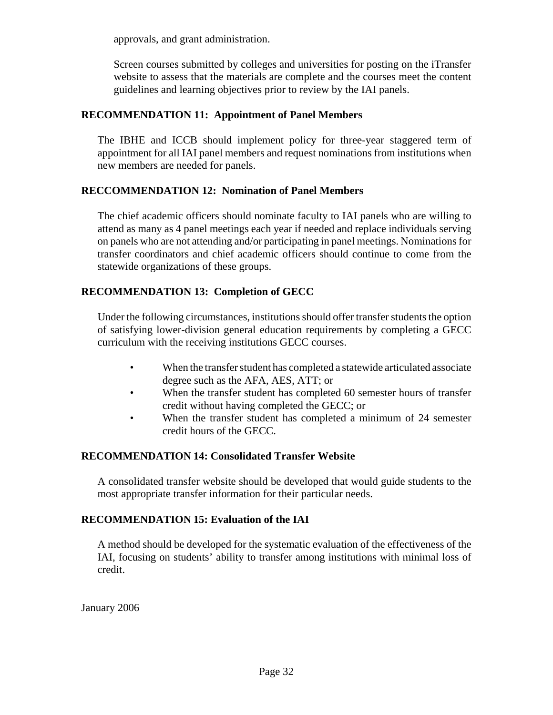approvals, and grant administration.

Screen courses submitted by colleges and universities for posting on the iTransfer website to assess that the materials are complete and the courses meet the content guidelines and learning objectives prior to review by the IAI panels.

## **RECOMMENDATION 11: Appointment of Panel Members**

The IBHE and ICCB should implement policy for three-year staggered term of appointment for all IAI panel members and request nominations from institutions when new members are needed for panels.

#### **RECCOMMENDATION 12: Nomination of Panel Members**

The chief academic officers should nominate faculty to IAI panels who are willing to attend as many as 4 panel meetings each year if needed and replace individuals serving on panels who are not attending and/or participating in panel meetings. Nominations for transfer coordinators and chief academic officers should continue to come from the statewide organizations of these groups.

# **RECOMMENDATION 13: Completion of GECC**

Under the following circumstances, institutions should offer transfer students the option of satisfying lower-division general education requirements by completing a GECC curriculum with the receiving institutions GECC courses.

- When the transfer student has completed a statewide articulated associate degree such as the AFA, AES, ATT; or
- When the transfer student has completed 60 semester hours of transfer credit without having completed the GECC; or
- When the transfer student has completed a minimum of 24 semester credit hours of the GECC.

#### **RECOMMENDATION 14: Consolidated Transfer Website**

A consolidated transfer website should be developed that would guide students to the most appropriate transfer information for their particular needs.

#### **RECOMMENDATION 15: Evaluation of the IAI**

A method should be developed for the systematic evaluation of the effectiveness of the IAI, focusing on students' ability to transfer among institutions with minimal loss of credit.

January 2006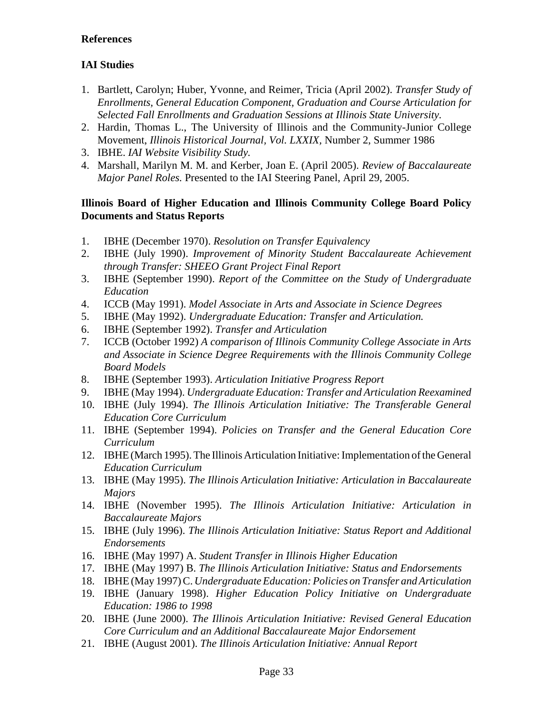# **References**

# **IAI Studies**

- 1. Bartlett, Carolyn; Huber, Yvonne, and Reimer, Tricia (April 2002). *Transfer Study of Enrollments, General Education Component, Graduation and Course Articulation for Selected Fall Enrollments and Graduation Sessions at Illinois State University.*
- 2. Hardin, Thomas L., The University of Illinois and the Community-Junior College Movement, *Illinois Historical Journal, Vol. LXXIX,* Number 2, Summer 1986
- 3. IBHE. *IAI Website Visibility Study.*
- 4. Marshall, Marilyn M. M. and Kerber, Joan E. (April 2005). *Review of Baccalaureate Major Panel Roles.* Presented to the IAI Steering Panel, April 29, 2005.

## **Illinois Board of Higher Education and Illinois Community College Board Policy Documents and Status Reports**

- 1. IBHE (December 1970). *Resolution on Transfer Equivalency*
- 2. IBHE (July 1990). *Improvement of Minority Student Baccalaureate Achievement through Transfer: SHEEO Grant Project Final Report*
- 3. IBHE (September 1990). *Report of the Committee on the Study of Undergraduate Education*
- 4. ICCB (May 1991). *Model Associate in Arts and Associate in Science Degrees*
- 5. IBHE (May 1992). *Undergraduate Education: Transfer and Articulation.*
- 6. IBHE (September 1992). *Transfer and Articulation*
- 7. ICCB (October 1992) *A comparison of Illinois Community College Associate in Arts and Associate in Science Degree Requirements with the Illinois Community College Board Models*
- 8. IBHE (September 1993). *Articulation Initiative Progress Report*
- 9. IBHE (May 1994). *Undergraduate Education: Transfer and Articulation Reexamined*
- 10. IBHE (July 1994). *The Illinois Articulation Initiative: The Transferable General Education Core Curriculum*
- 11. IBHE (September 1994). *Policies on Transfer and the General Education Core Curriculum*
- 12. IBHE (March 1995). The Illinois Articulation Initiative: Implementation of the General *Education Curriculum*
- 13. IBHE (May 1995). *The Illinois Articulation Initiative: Articulation in Baccalaureate Majors*
- 14. IBHE (November 1995). *The Illinois Articulation Initiative: Articulation in Baccalaureate Majors*
- 15. IBHE (July 1996). *The Illinois Articulation Initiative: Status Report and Additional Endorsements*
- 16. IBHE (May 1997) A. *Student Transfer in Illinois Higher Education*
- 17. IBHE (May 1997) B. *The Illinois Articulation Initiative: Status and Endorsements*
- 18. IBHE (May 1997) C. *Undergraduate Education: Policies on Transfer and Articulation*
- 19. IBHE (January 1998). *Higher Education Policy Initiative on Undergraduate Education: 1986 to 1998*
- 20. IBHE (June 2000). *The Illinois Articulation Initiative: Revised General Education Core Curriculum and an Additional Baccalaureate Major Endorsement*
- 21. IBHE (August 2001). *The Illinois Articulation Initiative: Annual Report*